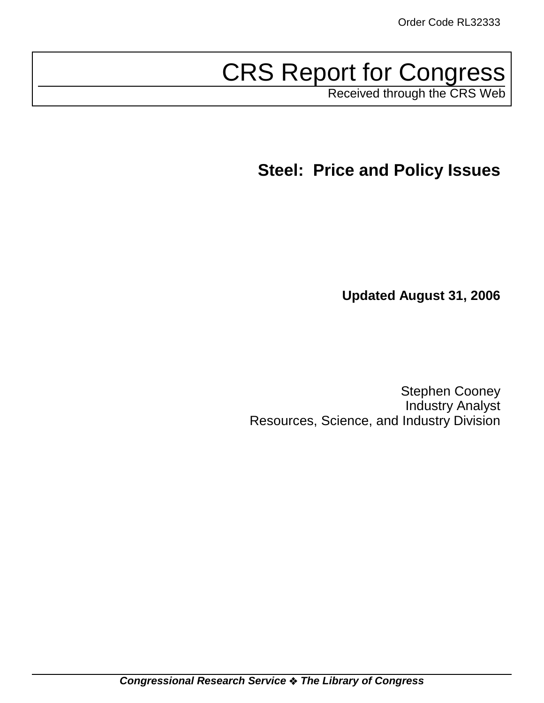# CRS Report for Congress

Received through the CRS Web

**Steel: Price and Policy Issues**

**Updated August 31, 2006**

Stephen Cooney Industry Analyst Resources, Science, and Industry Division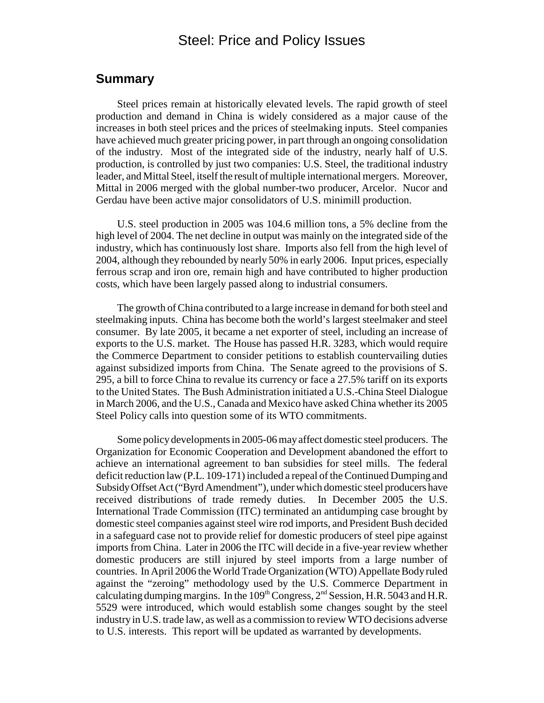# Steel: Price and Policy Issues

# **Summary**

Steel prices remain at historically elevated levels. The rapid growth of steel production and demand in China is widely considered as a major cause of the increases in both steel prices and the prices of steelmaking inputs. Steel companies have achieved much greater pricing power, in part through an ongoing consolidation of the industry. Most of the integrated side of the industry, nearly half of U.S. production, is controlled by just two companies: U.S. Steel, the traditional industry leader, and Mittal Steel, itself the result of multiple international mergers. Moreover, Mittal in 2006 merged with the global number-two producer, Arcelor. Nucor and Gerdau have been active major consolidators of U.S. minimill production.

U.S. steel production in 2005 was 104.6 million tons, a 5% decline from the high level of 2004. The net decline in output was mainly on the integrated side of the industry, which has continuously lost share. Imports also fell from the high level of 2004, although they rebounded by nearly 50% in early 2006. Input prices, especially ferrous scrap and iron ore, remain high and have contributed to higher production costs, which have been largely passed along to industrial consumers.

The growth of China contributed to a large increase in demand for both steel and steelmaking inputs. China has become both the world's largest steelmaker and steel consumer. By late 2005, it became a net exporter of steel, including an increase of exports to the U.S. market. The House has passed H.R. 3283, which would require the Commerce Department to consider petitions to establish countervailing duties against subsidized imports from China. The Senate agreed to the provisions of S. 295, a bill to force China to revalue its currency or face a 27.5% tariff on its exports to the United States. The Bush Administration initiated a U.S.-China Steel Dialogue in March 2006, and the U.S., Canada and Mexico have asked China whether its 2005 Steel Policy calls into question some of its WTO commitments.

Some policy developments in 2005-06 may affect domestic steel producers. The Organization for Economic Cooperation and Development abandoned the effort to achieve an international agreement to ban subsidies for steel mills. The federal deficit reduction law (P.L. 109-171) included a repeal of the Continued Dumping and Subsidy Offset Act ("Byrd Amendment"), under which domestic steel producers have received distributions of trade remedy duties. In December 2005 the U.S. International Trade Commission (ITC) terminated an antidumping case brought by domestic steel companies against steel wire rod imports, and President Bush decided in a safeguard case not to provide relief for domestic producers of steel pipe against imports from China. Later in 2006 the ITC will decide in a five-year review whether domestic producers are still injured by steel imports from a large number of countries. In April 2006 the World Trade Organization (WTO) Appellate Body ruled against the "zeroing" methodology used by the U.S. Commerce Department in calculating dumping margins. In the  $109<sup>th</sup> Congress, 2<sup>nd</sup> Session, H.R. 5043 and H.R.$ 5529 were introduced, which would establish some changes sought by the steel industry in U.S. trade law, as well as a commission to review WTO decisions adverse to U.S. interests. This report will be updated as warranted by developments.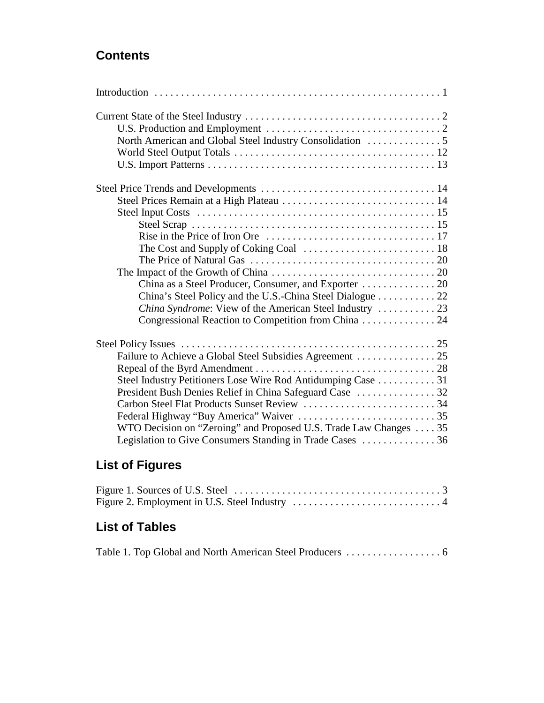# **Contents**

| Steel Prices Remain at a High Plateau  14                                                                         |
|-------------------------------------------------------------------------------------------------------------------|
|                                                                                                                   |
|                                                                                                                   |
|                                                                                                                   |
|                                                                                                                   |
| The Price of Natural Gas $\ldots \ldots \ldots \ldots \ldots \ldots \ldots \ldots \ldots \ldots \ldots \ldots 20$ |
|                                                                                                                   |
|                                                                                                                   |
| China's Steel Policy and the U.S.-China Steel Dialogue 22                                                         |
|                                                                                                                   |
| Congressional Reaction to Competition from China 24                                                               |
|                                                                                                                   |
|                                                                                                                   |
|                                                                                                                   |
| Steel Industry Petitioners Lose Wire Rod Antidumping Case  31                                                     |
|                                                                                                                   |
| Carbon Steel Flat Products Sunset Review 34                                                                       |
|                                                                                                                   |
| WTO Decision on "Zeroing" and Proposed U.S. Trade Law Changes 35                                                  |
| Legislation to Give Consumers Standing in Trade Cases  36                                                         |

# **List of Figures**

# **List of Tables**

|--|--|--|--|--|--|--|--|--|--|--|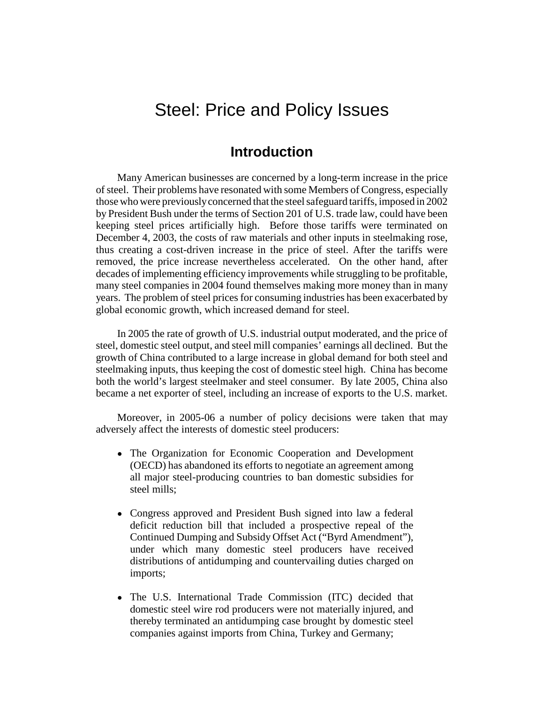# Steel: Price and Policy Issues

# **Introduction**

Many American businesses are concerned by a long-term increase in the price of steel. Their problems have resonated with some Members of Congress, especially those who were previously concerned that the steel safeguard tariffs, imposed in 2002 by President Bush under the terms of Section 201 of U.S. trade law, could have been keeping steel prices artificially high. Before those tariffs were terminated on December 4, 2003, the costs of raw materials and other inputs in steelmaking rose, thus creating a cost-driven increase in the price of steel. After the tariffs were removed, the price increase nevertheless accelerated. On the other hand, after decades of implementing efficiency improvements while struggling to be profitable, many steel companies in 2004 found themselves making more money than in many years. The problem of steel prices for consuming industries has been exacerbated by global economic growth, which increased demand for steel.

In 2005 the rate of growth of U.S. industrial output moderated, and the price of steel, domestic steel output, and steel mill companies' earnings all declined. But the growth of China contributed to a large increase in global demand for both steel and steelmaking inputs, thus keeping the cost of domestic steel high. China has become both the world's largest steelmaker and steel consumer. By late 2005, China also became a net exporter of steel, including an increase of exports to the U.S. market.

Moreover, in 2005-06 a number of policy decisions were taken that may adversely affect the interests of domestic steel producers:

- The Organization for Economic Cooperation and Development (OECD) has abandoned its efforts to negotiate an agreement among all major steel-producing countries to ban domestic subsidies for steel mills;
- Congress approved and President Bush signed into law a federal deficit reduction bill that included a prospective repeal of the Continued Dumping and Subsidy Offset Act ("Byrd Amendment"), under which many domestic steel producers have received distributions of antidumping and countervailing duties charged on imports;
- The U.S. International Trade Commission (ITC) decided that domestic steel wire rod producers were not materially injured, and thereby terminated an antidumping case brought by domestic steel companies against imports from China, Turkey and Germany;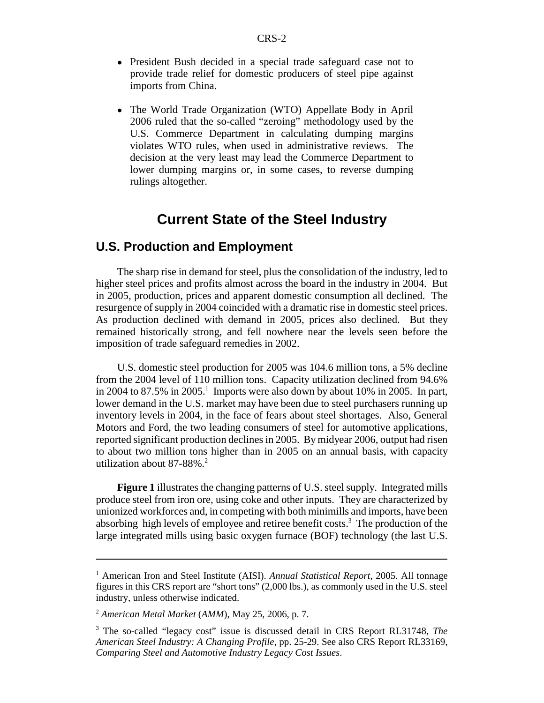- President Bush decided in a special trade safeguard case not to provide trade relief for domestic producers of steel pipe against imports from China.
- The World Trade Organization (WTO) Appellate Body in April 2006 ruled that the so-called "zeroing" methodology used by the U.S. Commerce Department in calculating dumping margins violates WTO rules, when used in administrative reviews. The decision at the very least may lead the Commerce Department to lower dumping margins or, in some cases, to reverse dumping rulings altogether.

# **Current State of the Steel Industry**

# **U.S. Production and Employment**

The sharp rise in demand for steel, plus the consolidation of the industry, led to higher steel prices and profits almost across the board in the industry in 2004. But in 2005, production, prices and apparent domestic consumption all declined. The resurgence of supply in 2004 coincided with a dramatic rise in domestic steel prices. As production declined with demand in 2005, prices also declined. But they remained historically strong, and fell nowhere near the levels seen before the imposition of trade safeguard remedies in 2002.

U.S. domestic steel production for 2005 was 104.6 million tons, a 5% decline from the 2004 level of 110 million tons. Capacity utilization declined from 94.6% in 2004 to 87.5% in 2005.<sup>1</sup> Imports were also down by about 10% in 2005. In part, lower demand in the U.S. market may have been due to steel purchasers running up inventory levels in 2004, in the face of fears about steel shortages. Also, General Motors and Ford, the two leading consumers of steel for automotive applications, reported significant production declines in 2005. By midyear 2006, output had risen to about two million tons higher than in 2005 on an annual basis, with capacity utilization about  $87-88\%$ .<sup>2</sup>

**Figure 1** illustrates the changing patterns of U.S. steel supply. Integrated mills produce steel from iron ore, using coke and other inputs. They are characterized by unionized workforces and, in competing with both minimills and imports, have been absorbing high levels of employee and retiree benefit costs.<sup>3</sup> The production of the large integrated mills using basic oxygen furnace (BOF) technology (the last U.S.

<sup>&</sup>lt;sup>1</sup> American Iron and Steel Institute (AISI). *Annual Statistical Report*, 2005. All tonnage figures in this CRS report are "short tons" (2,000 lbs.), as commonly used in the U.S. steel industry, unless otherwise indicated.

<sup>2</sup> *American Metal Market* (*AMM*), May 25, 2006, p. 7.

<sup>3</sup> The so-called "legacy cost" issue is discussed detail in CRS Report RL31748, *The American Steel Industry: A Changing Profile*, pp. 25-29. See also CRS Report RL33169, *Comparing Steel and Automotive Industry Legacy Cost Issues*.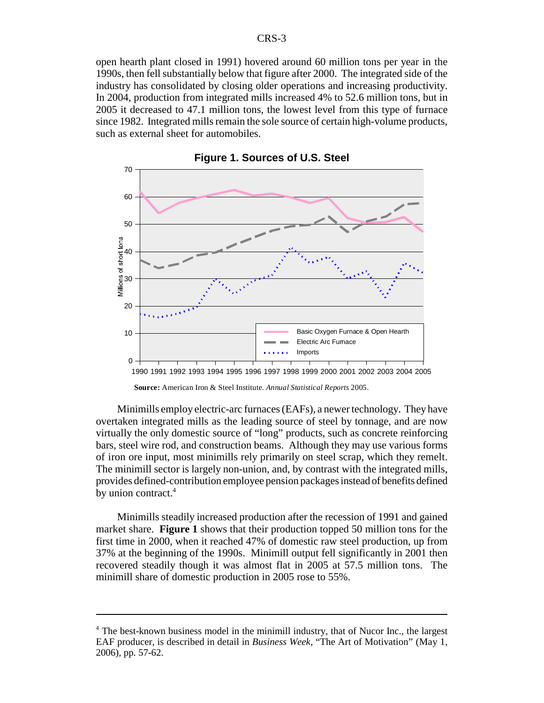open hearth plant closed in 1991) hovered around 60 million tons per year in the 1990s, then fell substantially below that figure after 2000. The integrated side of the industry has consolidated by closing older operations and increasing productivity. In 2004, production from integrated mills increased 4% to 52.6 million tons, but in 2005 it decreased to 47.1 million tons, the lowest level from this type of furnace since 1982. Integrated mills remain the sole source of certain high-volume products, such as external sheet for automobiles.



**Figure 1. Sources of U.S. Steel**

**Source:** American Iron & Steel Institute. *Annual Statistical Reports* 2005.

Minimills employ electric-arc furnaces (EAFs), a newer technology. They have overtaken integrated mills as the leading source of steel by tonnage, and are now virtually the only domestic source of "long" products, such as concrete reinforcing bars, steel wire rod, and construction beams. Although they may use various forms of iron ore input, most minimills rely primarily on steel scrap, which they remelt. The minimill sector is largely non-union, and, by contrast with the integrated mills, provides defined-contribution employee pension packages instead of benefits defined by union contract.<sup>4</sup>

Minimills steadily increased production after the recession of 1991 and gained market share. **Figure 1** shows that their production topped 50 million tons for the first time in 2000, when it reached 47% of domestic raw steel production, up from 37% at the beginning of the 1990s. Minimill output fell significantly in 2001 then recovered steadily though it was almost flat in 2005 at 57.5 million tons. The minimill share of domestic production in 2005 rose to 55%.

<sup>&</sup>lt;sup>4</sup> The best-known business model in the minimill industry, that of Nucor Inc., the largest EAF producer, is described in detail in *Business Week*, "The Art of Motivation" (May 1, 2006), pp. 57-62.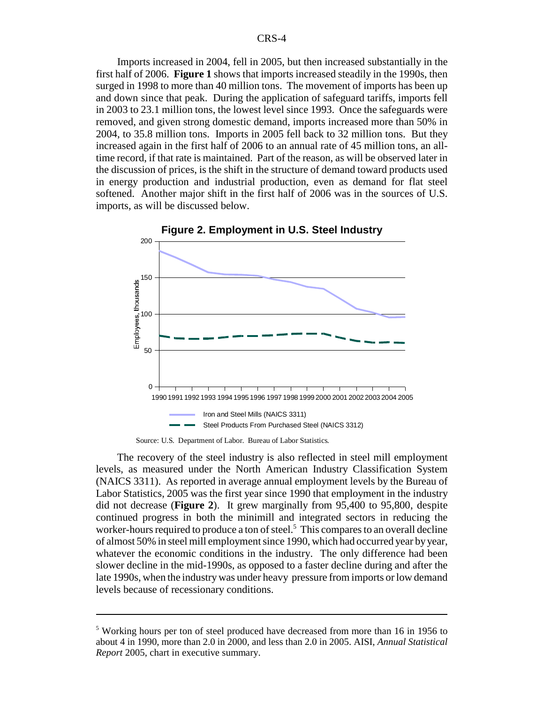Imports increased in 2004, fell in 2005, but then increased substantially in the first half of 2006. **Figure 1** shows that imports increased steadily in the 1990s, then surged in 1998 to more than 40 million tons. The movement of imports has been up and down since that peak. During the application of safeguard tariffs, imports fell in 2003 to 23.1 million tons, the lowest level since 1993. Once the safeguards were removed, and given strong domestic demand, imports increased more than 50% in 2004, to 35.8 million tons. Imports in 2005 fell back to 32 million tons. But they increased again in the first half of 2006 to an annual rate of 45 million tons, an alltime record, if that rate is maintained. Part of the reason, as will be observed later in the discussion of prices, is the shift in the structure of demand toward products used in energy production and industrial production, even as demand for flat steel softened. Another major shift in the first half of 2006 was in the sources of U.S. imports, as will be discussed below.



**Figure 2. Employment in U.S. Steel Industry**

Source: U.S. Department of Labor. Bureau of Labor Statistics.

The recovery of the steel industry is also reflected in steel mill employment levels, as measured under the North American Industry Classification System (NAICS 3311). As reported in average annual employment levels by the Bureau of Labor Statistics, 2005 was the first year since 1990 that employment in the industry did not decrease (**Figure 2**). It grew marginally from 95,400 to 95,800, despite continued progress in both the minimill and integrated sectors in reducing the worker-hours required to produce a ton of steel.<sup>5</sup> This compares to an overall decline of almost 50% in steel mill employment since 1990, which had occurred year by year, whatever the economic conditions in the industry. The only difference had been slower decline in the mid-1990s, as opposed to a faster decline during and after the late 1990s, when the industry was under heavy pressure from imports or low demand levels because of recessionary conditions.

<sup>&</sup>lt;sup>5</sup> Working hours per ton of steel produced have decreased from more than 16 in 1956 to about 4 in 1990, more than 2.0 in 2000, and less than 2.0 in 2005. AISI, *Annual Statistical Report* 2005, chart in executive summary.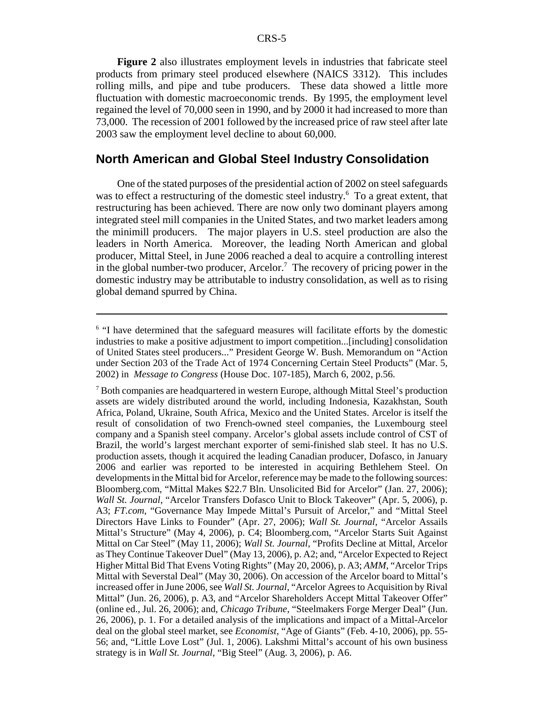**Figure 2** also illustrates employment levels in industries that fabricate steel products from primary steel produced elsewhere (NAICS 3312). This includes rolling mills, and pipe and tube producers. These data showed a little more fluctuation with domestic macroeconomic trends. By 1995, the employment level regained the level of 70,000 seen in 1990, and by 2000 it had increased to more than 73,000. The recession of 2001 followed by the increased price of raw steel after late 2003 saw the employment level decline to about 60,000.

## **North American and Global Steel Industry Consolidation**

One of the stated purposes of the presidential action of 2002 on steel safeguards was to effect a restructuring of the domestic steel industry.<sup>6</sup> To a great extent, that restructuring has been achieved. There are now only two dominant players among integrated steel mill companies in the United States, and two market leaders among the minimill producers. The major players in U.S. steel production are also the leaders in North America. Moreover, the leading North American and global producer, Mittal Steel, in June 2006 reached a deal to acquire a controlling interest in the global number-two producer, Arcelor.<sup>7</sup> The recovery of pricing power in the domestic industry may be attributable to industry consolidation, as well as to rising global demand spurred by China.

<sup>&</sup>lt;sup>6</sup> "I have determined that the safeguard measures will facilitate efforts by the domestic industries to make a positive adjustment to import competition...[including] consolidation of United States steel producers..." President George W. Bush. Memorandum on "Action under Section 203 of the Trade Act of 1974 Concerning Certain Steel Products" (Mar. 5, 2002) in *Message to Congress* (House Doc. 107-185), March 6, 2002, p.56.

 $7$  Both companies are headquartered in western Europe, although Mittal Steel's production assets are widely distributed around the world, including Indonesia, Kazakhstan, South Africa, Poland, Ukraine, South Africa, Mexico and the United States. Arcelor is itself the result of consolidation of two French-owned steel companies, the Luxembourg steel company and a Spanish steel company. Arcelor's global assets include control of CST of Brazil, the world's largest merchant exporter of semi-finished slab steel. It has no U.S. production assets, though it acquired the leading Canadian producer, Dofasco, in January 2006 and earlier was reported to be interested in acquiring Bethlehem Steel. On developments in the Mittal bid for Arcelor, reference may be made to the following sources: Bloomberg.com, "Mittal Makes \$22.7 Bln. Unsolicited Bid for Arcelor" (Jan. 27, 2006); *Wall St. Journal*, "Arcelor Transfers Dofasco Unit to Block Takeover" (Apr. 5, 2006), p. A3; *FT.com*, "Governance May Impede Mittal's Pursuit of Arcelor," and "Mittal Steel Directors Have Links to Founder" (Apr. 27, 2006); *Wall St. Journal*, "Arcelor Assails Mittal's Structure" (May 4, 2006), p. C4; Bloomberg.com, "Arcelor Starts Suit Against Mittal on Car Steel" (May 11, 2006); *Wall St. Journal*, "Profits Decline at Mittal, Arcelor as They Continue Takeover Duel" (May 13, 2006), p. A2; and, "Arcelor Expected to Reject Higher Mittal Bid That Evens Voting Rights" (May 20, 2006), p. A3; *AMM*, "Arcelor Trips Mittal with Severstal Deal" (May 30, 2006). On accession of the Arcelor board to Mittal's increased offer in June 2006, see *Wall St. Journal*, "Arcelor Agrees to Acquisition by Rival Mittal" (Jun. 26, 2006), p. A3, and "Arcelor Shareholders Accept Mittal Takeover Offer" (online ed., Jul. 26, 2006); and, *Chicago Tribune*, "Steelmakers Forge Merger Deal" (Jun. 26, 2006), p. 1. For a detailed analysis of the implications and impact of a Mittal-Arcelor deal on the global steel market, see *Economist*, "Age of Giants" (Feb. 4-10, 2006), pp. 55- 56; and, "Little Love Lost" (Jul. 1, 2006). Lakshmi Mittal's account of his own business strategy is in *Wall St. Journal*, "Big Steel" (Aug. 3, 2006), p. A6.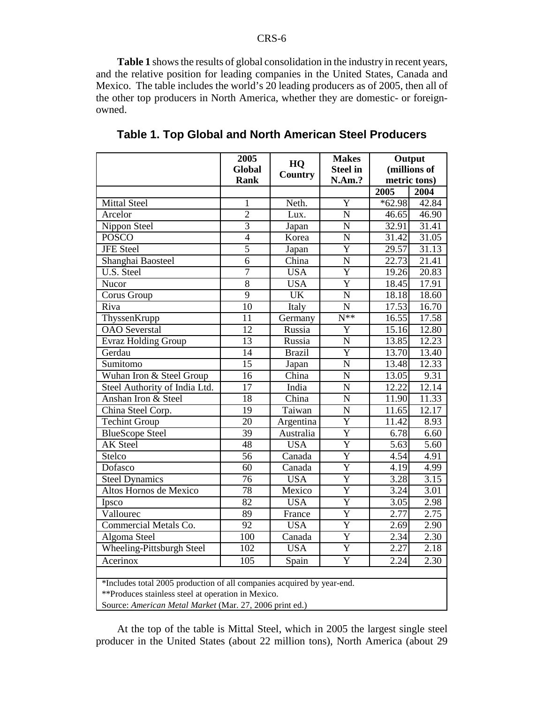**Table 1** shows the results of global consolidation in the industry in recent years, and the relative position for leading companies in the United States, Canada and Mexico. The table includes the world's 20 leading producers as of 2005, then all of the other top producers in North America, whether they are domestic- or foreignowned.

|                                                                                                                                                                                         | 2005             | HQ                        | <b>Makes</b>          | Output<br>(millions of<br>metric tons) |                   |  |  |  |
|-----------------------------------------------------------------------------------------------------------------------------------------------------------------------------------------|------------------|---------------------------|-----------------------|----------------------------------------|-------------------|--|--|--|
|                                                                                                                                                                                         | Global           | <b>Country</b>            | <b>Steel in</b>       |                                        |                   |  |  |  |
|                                                                                                                                                                                         | <b>Rank</b>      |                           | N.Am.?                |                                        |                   |  |  |  |
|                                                                                                                                                                                         |                  |                           |                       | 2005                                   | 2004              |  |  |  |
| <b>Mittal Steel</b>                                                                                                                                                                     | 1                | Neth.                     | $\overline{Y}$        | $*62.98$                               | 42.84             |  |  |  |
| Arcelor                                                                                                                                                                                 | $\overline{2}$   | Lux.                      | $\overline{N}$        | 46.65                                  | 46.90             |  |  |  |
| Nippon Steel                                                                                                                                                                            | $\overline{3}$   | Japan                     | $\overline{N}$        | 32.91                                  | 31.41             |  |  |  |
| <b>POSCO</b>                                                                                                                                                                            | $\overline{4}$   | Korea                     | ${\bf N}$             | 31.42                                  | 31.05             |  |  |  |
| <b>JFE</b> Steel                                                                                                                                                                        | $\overline{5}$   | Japan                     | $\overline{Y}$        | 29.57                                  | 31.13             |  |  |  |
| Shanghai Baosteel                                                                                                                                                                       | 6                | China                     | ${\bf N}$             | 22.73                                  | 21.41             |  |  |  |
| U.S. Steel                                                                                                                                                                              | 7                | <b>USA</b>                | $\overline{\text{Y}}$ | 19.26                                  | 20.83             |  |  |  |
| Nucor                                                                                                                                                                                   | $\overline{8}$   | <b>USA</b>                | $\overline{Y}$        | 18.45                                  | 17.91             |  |  |  |
| Corus Group                                                                                                                                                                             | 9                | <b>UK</b>                 | $\overline{\rm N}$    | 18.18                                  | 18.60             |  |  |  |
| Riva                                                                                                                                                                                    | $\overline{10}$  | Italy                     | $\overline{N}$        | 17.53                                  | 16.70             |  |  |  |
| ThyssenKrupp                                                                                                                                                                            | 11               | Germany                   | $\overline{N^{**}}$   | 16.55                                  | 17.58             |  |  |  |
| <b>OAO</b> Severstal                                                                                                                                                                    | $\overline{12}$  | Russia                    | $\overline{Y}$        | 15.16                                  | 12.80             |  |  |  |
| Evraz Holding Group                                                                                                                                                                     | 13               | Russia                    | $\overline{N}$        | 13.85                                  | 12.23             |  |  |  |
| Gerdau                                                                                                                                                                                  | 14               | <b>Brazil</b>             | $\overline{Y}$        | 13.70                                  | 13.40             |  |  |  |
| Sumitomo                                                                                                                                                                                | 15               | Japan                     | $\mathbf N$           | 13.48                                  | 12.33             |  |  |  |
| Wuhan Iron & Steel Group                                                                                                                                                                | 16               | $\overline{\text{China}}$ | N                     | 13.05                                  | 9.31              |  |  |  |
| Steel Authority of India Ltd.                                                                                                                                                           | $\overline{17}$  | India                     | $\overline{\text{N}}$ | 12.22                                  | 12.14             |  |  |  |
| Anshan Iron & Steel                                                                                                                                                                     | 18               | China                     | $\overline{\rm N}$    | 11.90                                  | 11.33             |  |  |  |
| China Steel Corp.                                                                                                                                                                       | 19               | Taiwan                    | $\overline{\rm N}$    | 11.65                                  | 12.17             |  |  |  |
| <b>Techint Group</b>                                                                                                                                                                    | 20               | Argentina                 | Ÿ                     | 11.42                                  | 8.93              |  |  |  |
| <b>BlueScope Steel</b>                                                                                                                                                                  | $\overline{39}$  | Australia                 | $\overline{Y}$        | 6.78                                   | 6.60              |  |  |  |
| <b>AK</b> Steel                                                                                                                                                                         | 48               | <b>USA</b>                | $\overline{Y}$        | 5.63                                   | $\overline{5.60}$ |  |  |  |
| Stelco                                                                                                                                                                                  | 56               | Canada                    | $\overline{Y}$        | 4.54                                   | 4.91              |  |  |  |
| Dofasco                                                                                                                                                                                 | 60               | Canada                    | $\overline{\text{Y}}$ | 4.19                                   | 4.99              |  |  |  |
| <b>Steel Dynamics</b>                                                                                                                                                                   | $\overline{76}$  | <b>USA</b>                | $\overline{\text{Y}}$ | 3.28                                   | 3.15              |  |  |  |
| Altos Hornos de Mexico                                                                                                                                                                  | $\overline{78}$  | Mexico                    | Ÿ                     | 3.24                                   | $\overline{3.01}$ |  |  |  |
| Ipsco                                                                                                                                                                                   | 82               | <b>USA</b>                | $\overline{Y}$        | 3.05                                   | 2.98              |  |  |  |
| Vallourec                                                                                                                                                                               | 89               | France                    | $\overline{\text{Y}}$ | 2.77                                   | 2.75              |  |  |  |
| Commercial Metals Co.                                                                                                                                                                   | $\overline{92}$  | <b>USA</b>                | $\overline{Y}$        | 2.69                                   | 2.90              |  |  |  |
| Algoma Steel                                                                                                                                                                            | 100              | Canada                    | $\overline{Y}$        | 2.34                                   | 2.30              |  |  |  |
| <b>Wheeling-Pittsburgh Steel</b>                                                                                                                                                        | $\overline{102}$ | <b>USA</b>                | $\overline{Y}$        | 2.27                                   | $\overline{2.18}$ |  |  |  |
| Acerinox                                                                                                                                                                                | $\overline{105}$ | Spain                     | $\overline{Y}$        | 2.24                                   | 2.30              |  |  |  |
| *Includes total 2005 production of all companies acquired by year-end.<br>**Produces stainless steel at operation in Mexico.<br>Source: American Metal Market (Mar. 27, 2006 print ed.) |                  |                           |                       |                                        |                   |  |  |  |

**Table 1. Top Global and North American Steel Producers**

At the top of the table is Mittal Steel, which in 2005 the largest single steel producer in the United States (about 22 million tons), North America (about 29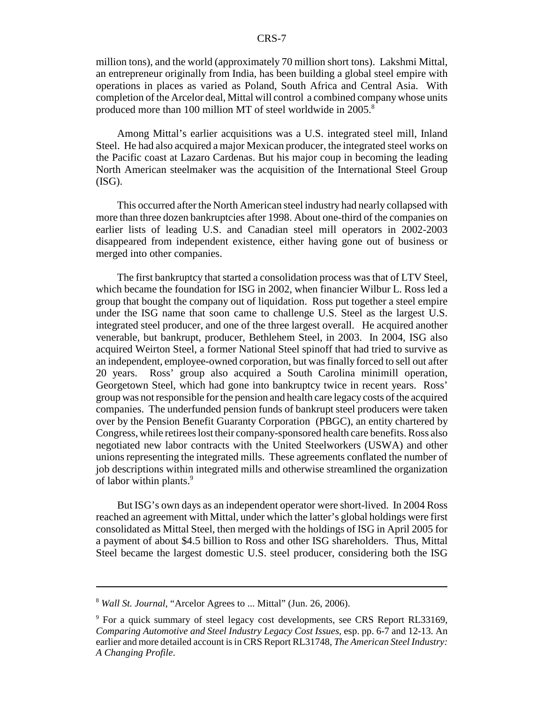million tons), and the world (approximately 70 million short tons). Lakshmi Mittal, an entrepreneur originally from India, has been building a global steel empire with operations in places as varied as Poland, South Africa and Central Asia. With completion of the Arcelor deal, Mittal will control a combined company whose units produced more than 100 million MT of steel worldwide in 2005.<sup>8</sup>

Among Mittal's earlier acquisitions was a U.S. integrated steel mill, Inland Steel. He had also acquired a major Mexican producer, the integrated steel works on the Pacific coast at Lazaro Cardenas. But his major coup in becoming the leading North American steelmaker was the acquisition of the International Steel Group (ISG).

This occurred after the North American steel industry had nearly collapsed with more than three dozen bankruptcies after 1998. About one-third of the companies on earlier lists of leading U.S. and Canadian steel mill operators in 2002-2003 disappeared from independent existence, either having gone out of business or merged into other companies.

The first bankruptcy that started a consolidation process was that of LTV Steel, which became the foundation for ISG in 2002, when financier Wilbur L. Ross led a group that bought the company out of liquidation. Ross put together a steel empire under the ISG name that soon came to challenge U.S. Steel as the largest U.S. integrated steel producer, and one of the three largest overall. He acquired another venerable, but bankrupt, producer, Bethlehem Steel, in 2003. In 2004, ISG also acquired Weirton Steel, a former National Steel spinoff that had tried to survive as an independent, employee-owned corporation, but was finally forced to sell out after 20 years. Ross' group also acquired a South Carolina minimill operation, Georgetown Steel, which had gone into bankruptcy twice in recent years. Ross' group was not responsible for the pension and health care legacy costs of the acquired companies. The underfunded pension funds of bankrupt steel producers were taken over by the Pension Benefit Guaranty Corporation (PBGC), an entity chartered by Congress, while retirees lost their company-sponsored health care benefits. Ross also negotiated new labor contracts with the United Steelworkers (USWA) and other unions representing the integrated mills. These agreements conflated the number of job descriptions within integrated mills and otherwise streamlined the organization of labor within plants.<sup>9</sup>

But ISG's own days as an independent operator were short-lived. In 2004 Ross reached an agreement with Mittal, under which the latter's global holdings were first consolidated as Mittal Steel, then merged with the holdings of ISG in April 2005 for a payment of about \$4.5 billion to Ross and other ISG shareholders. Thus, Mittal Steel became the largest domestic U.S. steel producer, considering both the ISG

<sup>8</sup> *Wall St. Journal*, "Arcelor Agrees to ... Mittal" (Jun. 26, 2006).

<sup>&</sup>lt;sup>9</sup> For a quick summary of steel legacy cost developments, see CRS Report RL33169, *Comparing Automotive and Steel Industry Legacy Cost Issues*, esp. pp. 6-7 and 12-13. An earlier and more detailed account is in CRS Report RL31748, *The American Steel Industry: A Changing Profile*.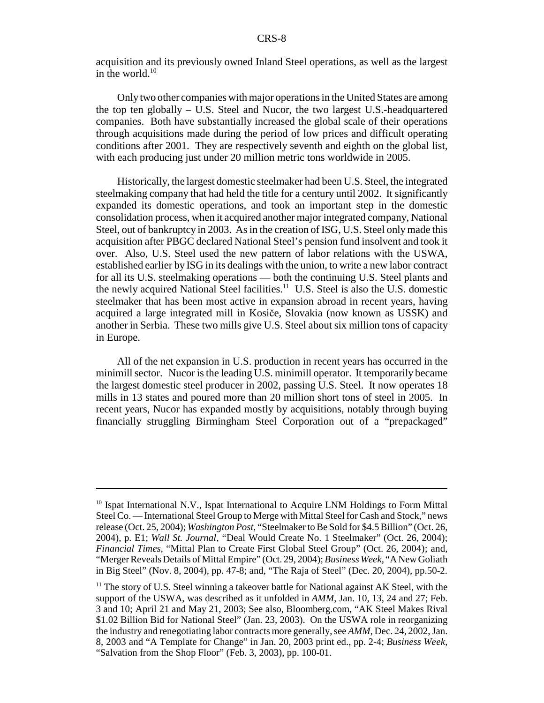acquisition and its previously owned Inland Steel operations, as well as the largest in the world. $10$ 

Only two other companies with major operations in the United States are among the top ten globally – U.S. Steel and Nucor, the two largest U.S.-headquartered companies. Both have substantially increased the global scale of their operations through acquisitions made during the period of low prices and difficult operating conditions after 2001. They are respectively seventh and eighth on the global list, with each producing just under 20 million metric tons worldwide in 2005.

Historically, the largest domestic steelmaker had been U.S. Steel, the integrated steelmaking company that had held the title for a century until 2002. It significantly expanded its domestic operations, and took an important step in the domestic consolidation process, when it acquired another major integrated company, National Steel, out of bankruptcy in 2003. As in the creation of ISG, U.S. Steel only made this acquisition after PBGC declared National Steel's pension fund insolvent and took it over. Also, U.S. Steel used the new pattern of labor relations with the USWA, established earlier by ISG in its dealings with the union, to write a new labor contract for all its U.S. steelmaking operations — both the continuing U.S. Steel plants and the newly acquired National Steel facilities.<sup>11</sup> U.S. Steel is also the U.S. domestic steelmaker that has been most active in expansion abroad in recent years, having acquired a large integrated mill in Kosiče, Slovakia (now known as USSK) and another in Serbia. These two mills give U.S. Steel about six million tons of capacity in Europe.

All of the net expansion in U.S. production in recent years has occurred in the minimill sector. Nucor is the leading U.S. minimill operator. It temporarily became the largest domestic steel producer in 2002, passing U.S. Steel. It now operates 18 mills in 13 states and poured more than 20 million short tons of steel in 2005. In recent years, Nucor has expanded mostly by acquisitions, notably through buying financially struggling Birmingham Steel Corporation out of a "prepackaged"

<sup>&</sup>lt;sup>10</sup> Ispat International N.V., Ispat International to Acquire LNM Holdings to Form Mittal Steel Co. — International Steel Group to Merge with Mittal Steel for Cash and Stock," news release (Oct. 25, 2004); *Washington Post*, "Steelmaker to Be Sold for \$4.5 Billion" (Oct. 26, 2004), p. E1; *Wall St. Journal*, "Deal Would Create No. 1 Steelmaker" (Oct. 26, 2004); *Financial Times*, "Mittal Plan to Create First Global Steel Group" (Oct. 26, 2004); and, "Merger Reveals Details of Mittal Empire" (Oct. 29, 2004); *Business Week*, "A New Goliath in Big Steel" (Nov. 8, 2004), pp. 47-8; and, "The Raja of Steel" (Dec. 20, 2004), pp.50-2.

 $11$  The story of U.S. Steel winning a takeover battle for National against AK Steel, with the support of the USWA, was described as it unfolded in *AMM*, Jan. 10, 13, 24 and 27; Feb. 3 and 10; April 21 and May 21, 2003; See also, Bloomberg.com, "AK Steel Makes Rival \$1.02 Billion Bid for National Steel" (Jan. 23, 2003). On the USWA role in reorganizing the industry and renegotiating labor contracts more generally, see *AMM*, Dec. 24, 2002, Jan. 8, 2003 and "A Template for Change" in Jan. 20, 2003 print ed., pp. 2-4; *Business Week*, "Salvation from the Shop Floor" (Feb. 3, 2003), pp. 100-01.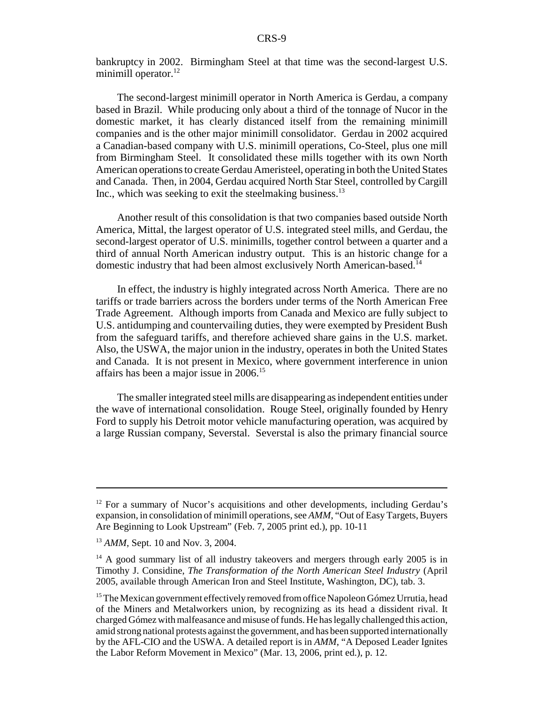bankruptcy in 2002. Birmingham Steel at that time was the second-largest U.S. minimill operator.<sup>12</sup>

The second-largest minimill operator in North America is Gerdau, a company based in Brazil. While producing only about a third of the tonnage of Nucor in the domestic market, it has clearly distanced itself from the remaining minimill companies and is the other major minimill consolidator. Gerdau in 2002 acquired a Canadian-based company with U.S. minimill operations, Co-Steel, plus one mill from Birmingham Steel. It consolidated these mills together with its own North American operations to create Gerdau Ameristeel, operating in both the United States and Canada. Then, in 2004, Gerdau acquired North Star Steel, controlled by Cargill Inc., which was seeking to exit the steelmaking business. $^{13}$ 

Another result of this consolidation is that two companies based outside North America, Mittal, the largest operator of U.S. integrated steel mills, and Gerdau, the second-largest operator of U.S. minimills, together control between a quarter and a third of annual North American industry output. This is an historic change for a domestic industry that had been almost exclusively North American-based.<sup>14</sup>

In effect, the industry is highly integrated across North America. There are no tariffs or trade barriers across the borders under terms of the North American Free Trade Agreement. Although imports from Canada and Mexico are fully subject to U.S. antidumping and countervailing duties, they were exempted by President Bush from the safeguard tariffs, and therefore achieved share gains in the U.S. market. Also, the USWA, the major union in the industry, operates in both the United States and Canada. It is not present in Mexico, where government interference in union affairs has been a major issue in 2006.15

The smaller integrated steel mills are disappearing as independent entities under the wave of international consolidation. Rouge Steel, originally founded by Henry Ford to supply his Detroit motor vehicle manufacturing operation, was acquired by a large Russian company, Severstal. Severstal is also the primary financial source

<sup>&</sup>lt;sup>12</sup> For a summary of Nucor's acquisitions and other developments, including Gerdau's expansion, in consolidation of minimill operations, see *AMM*, "Out of Easy Targets, Buyers Are Beginning to Look Upstream" (Feb. 7, 2005 print ed.), pp. 10-11

<sup>&</sup>lt;sup>13</sup> *AMM*, Sept. 10 and Nov. 3, 2004.

 $14$  A good summary list of all industry takeovers and mergers through early 2005 is in Timothy J. Considine, *The Transformation of the North American Steel Industry* (April 2005, available through American Iron and Steel Institute, Washington, DC), tab. 3.

<sup>&</sup>lt;sup>15</sup> The Mexican government effectively removed from office Napoleon Gómez Urrutia, head of the Miners and Metalworkers union, by recognizing as its head a dissident rival. It charged Gómez with malfeasance and misuse of funds. He has legally challenged this action, amid strong national protests against the government, and has been supported internationally by the AFL-CIO and the USWA. A detailed report is in *AMM*, "A Deposed Leader Ignites the Labor Reform Movement in Mexico" (Mar. 13, 2006, print ed.), p. 12.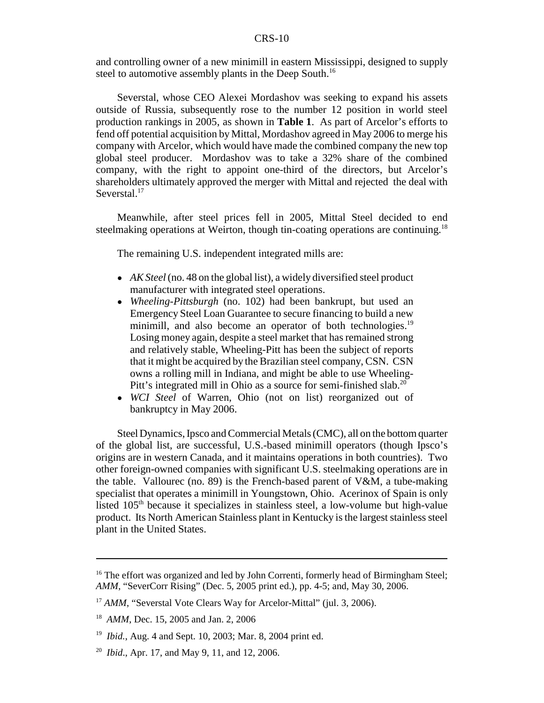and controlling owner of a new minimill in eastern Mississippi, designed to supply steel to automotive assembly plants in the Deep South.<sup>16</sup>

Severstal, whose CEO Alexei Mordashov was seeking to expand his assets outside of Russia, subsequently rose to the number 12 position in world steel production rankings in 2005, as shown in **Table 1**. As part of Arcelor's efforts to fend off potential acquisition by Mittal, Mordashov agreed in May 2006 to merge his company with Arcelor, which would have made the combined company the new top global steel producer. Mordashov was to take a 32% share of the combined company, with the right to appoint one-third of the directors, but Arcelor's shareholders ultimately approved the merger with Mittal and rejected the deal with Severstal.<sup>17</sup>

Meanwhile, after steel prices fell in 2005, Mittal Steel decided to end steelmaking operations at Weirton, though tin-coating operations are continuing.<sup>18</sup>

The remaining U.S. independent integrated mills are:

- *AK Steel* (no. 48 on the global list), a widely diversified steel product manufacturer with integrated steel operations.
- *Wheeling-Pittsburgh* (no. 102) had been bankrupt, but used an Emergency Steel Loan Guarantee to secure financing to build a new minimill, and also become an operator of both technologies.<sup>19</sup> Losing money again, despite a steel market that has remained strong and relatively stable, Wheeling-Pitt has been the subject of reports that it might be acquired by the Brazilian steel company, CSN. CSN owns a rolling mill in Indiana, and might be able to use Wheeling-Pitt's integrated mill in Ohio as a source for semi-finished slab.<sup>20</sup>
- ! *WCI Steel* of Warren, Ohio (not on list) reorganized out of bankruptcy in May 2006.

Steel Dynamics, Ipsco and Commercial Metals (CMC), all on the bottom quarter of the global list, are successful, U.S.-based minimill operators (though Ipsco's origins are in western Canada, and it maintains operations in both countries). Two other foreign-owned companies with significant U.S. steelmaking operations are in the table. Vallourec (no. 89) is the French-based parent of  $V\&M$ , a tube-making specialist that operates a minimill in Youngstown, Ohio. Acerinox of Spain is only listed  $105<sup>th</sup>$  because it specializes in stainless steel, a low-volume but high-value product. Its North American Stainless plant in Kentucky is the largest stainless steel plant in the United States.

<sup>&</sup>lt;sup>16</sup> The effort was organized and led by John Correnti, formerly head of Birmingham Steel; *AMM*, "SeverCorr Rising" (Dec. 5, 2005 print ed.), pp. 4-5; and, May 30, 2006.

<sup>&</sup>lt;sup>17</sup> *AMM*, "Severstal Vote Clears Way for Arcelor-Mittal" (jul. 3, 2006).

<sup>&</sup>lt;sup>18</sup> *AMM*, Dec. 15, 2005 and Jan. 2, 2006

<sup>19</sup> *Ibid.*, Aug. 4 and Sept. 10, 2003; Mar. 8, 2004 print ed.

<sup>20</sup> *Ibid*., Apr. 17, and May 9, 11, and 12, 2006.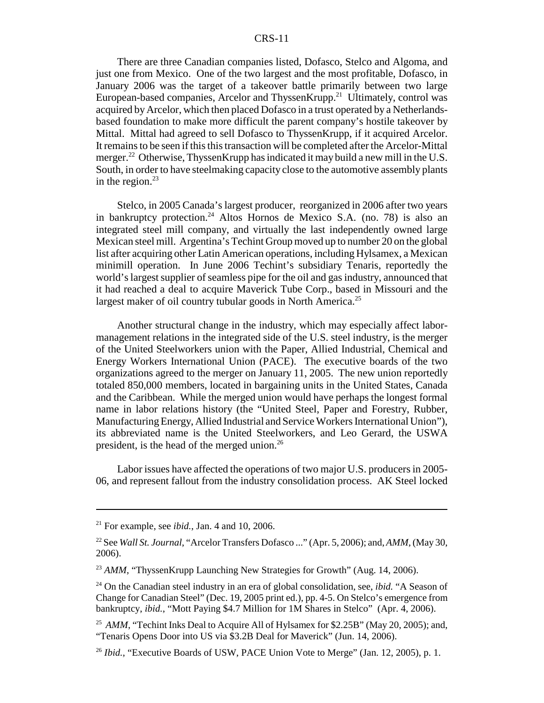There are three Canadian companies listed, Dofasco, Stelco and Algoma, and just one from Mexico. One of the two largest and the most profitable, Dofasco, in January 2006 was the target of a takeover battle primarily between two large European-based companies, Arcelor and ThyssenKrupp.<sup>21</sup> Ultimately, control was acquired by Arcelor, which then placed Dofasco in a trust operated by a Netherlandsbased foundation to make more difficult the parent company's hostile takeover by Mittal. Mittal had agreed to sell Dofasco to ThyssenKrupp, if it acquired Arcelor. It remains to be seen if this this transaction will be completed after the Arcelor-Mittal merger.<sup>22</sup> Otherwise, ThyssenKrupp has indicated it may build a new mill in the U.S. South, in order to have steelmaking capacity close to the automotive assembly plants in the region. $^{23}$ 

Stelco, in 2005 Canada's largest producer, reorganized in 2006 after two years in bankruptcy protection.<sup>24</sup> Altos Hornos de Mexico S.A. (no. 78) is also an integrated steel mill company, and virtually the last independently owned large Mexican steel mill. Argentina's Techint Group moved up to number 20 on the global list after acquiring other Latin American operations, including Hylsamex, a Mexican minimill operation. In June 2006 Techint's subsidiary Tenaris, reportedly the world's largest supplier of seamless pipe for the oil and gas industry, announced that it had reached a deal to acquire Maverick Tube Corp., based in Missouri and the largest maker of oil country tubular goods in North America.<sup>25</sup>

Another structural change in the industry, which may especially affect labormanagement relations in the integrated side of the U.S. steel industry, is the merger of the United Steelworkers union with the Paper, Allied Industrial, Chemical and Energy Workers International Union (PACE). The executive boards of the two organizations agreed to the merger on January 11, 2005. The new union reportedly totaled 850,000 members, located in bargaining units in the United States, Canada and the Caribbean. While the merged union would have perhaps the longest formal name in labor relations history (the "United Steel, Paper and Forestry, Rubber, Manufacturing Energy, Allied Industrial and Service Workers International Union"), its abbreviated name is the United Steelworkers, and Leo Gerard, the USWA president, is the head of the merged union.<sup>26</sup>

Labor issues have affected the operations of two major U.S. producers in 2005- 06, and represent fallout from the industry consolidation process. AK Steel locked

 $21$  For example, see *ibid.*, Jan. 4 and 10, 2006.

<sup>22</sup> See *Wall St. Journal*, "Arcelor Transfers Dofasco ..." (Apr. 5, 2006); and, *AMM*, (May 30, 2006).

<sup>&</sup>lt;sup>23</sup> *AMM*, "ThyssenKrupp Launching New Strategies for Growth" (Aug. 14, 2006).

<sup>24</sup> On the Canadian steel industry in an era of global consolidation, see, *ibid.* "A Season of Change for Canadian Steel" (Dec. 19, 2005 print ed.), pp. 4-5. On Stelco's emergence from bankruptcy, *ibid.*, "Mott Paying \$4.7 Million for 1M Shares in Stelco" (Apr. 4, 2006).

<sup>&</sup>lt;sup>25</sup> *AMM*, "Techint Inks Deal to Acquire All of Hylsamex for \$2.25B" (May 20, 2005); and, "Tenaris Opens Door into US via \$3.2B Deal for Maverick" (Jun. 14, 2006).

<sup>&</sup>lt;sup>26</sup> *Ibid.*, "Executive Boards of USW, PACE Union Vote to Merge" (Jan. 12, 2005), p. 1.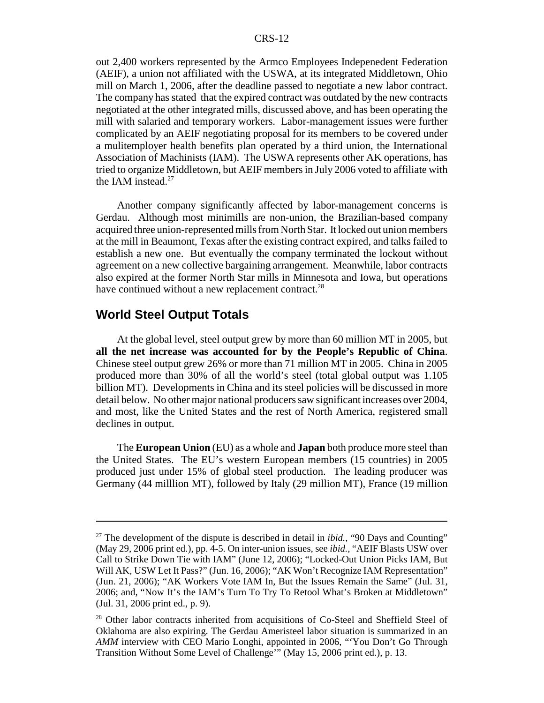out 2,400 workers represented by the Armco Employees Indepenedent Federation (AEIF), a union not affiliated with the USWA, at its integrated Middletown, Ohio mill on March 1, 2006, after the deadline passed to negotiate a new labor contract. The company has stated that the expired contract was outdated by the new contracts negotiated at the other integrated mills, discussed above, and has been operating the mill with salaried and temporary workers. Labor-management issues were further complicated by an AEIF negotiating proposal for its members to be covered under a mulitemployer health benefits plan operated by a third union, the International Association of Machinists (IAM). The USWA represents other AK operations, has tried to organize Middletown, but AEIF members in July 2006 voted to affiliate with the IAM instead.<sup>27</sup>

Another company significantly affected by labor-management concerns is Gerdau. Although most minimills are non-union, the Brazilian-based company acquired three union-represented mills from North Star. It locked out union members at the mill in Beaumont, Texas after the existing contract expired, and talks failed to establish a new one. But eventually the company terminated the lockout without agreement on a new collective bargaining arrangement. Meanwhile, labor contracts also expired at the former North Star mills in Minnesota and Iowa, but operations have continued without a new replacement contract.<sup>28</sup>

# **World Steel Output Totals**

At the global level, steel output grew by more than 60 million MT in 2005, but **all the net increase was accounted for by the People's Republic of China**. Chinese steel output grew 26% or more than 71 million MT in 2005. China in 2005 produced more than 30% of all the world's steel (total global output was 1.105 billion MT). Developments in China and its steel policies will be discussed in more detail below. No other major national producers saw significant increases over 2004, and most, like the United States and the rest of North America, registered small declines in output.

The **European Union** (EU) as a whole and **Japan** both produce more steel than the United States. The EU's western European members (15 countries) in 2005 produced just under 15% of global steel production. The leading producer was Germany (44 milllion MT), followed by Italy (29 million MT), France (19 million

<sup>&</sup>lt;sup>27</sup> The development of the dispute is described in detail in *ibid.*, "90 Days and Counting" (May 29, 2006 print ed.), pp. 4-5. On inter-union issues, see *ibid.*, "AEIF Blasts USW over Call to Strike Down Tie with IAM" (June 12, 2006); "Locked-Out Union Picks IAM, But Will AK, USW Let It Pass?" (Jun. 16, 2006); "AK Won't Recognize IAM Representation" (Jun. 21, 2006); "AK Workers Vote IAM In, But the Issues Remain the Same" (Jul. 31, 2006; and, "Now It's the IAM's Turn To Try To Retool What's Broken at Middletown" (Jul. 31, 2006 print ed., p. 9).

<sup>&</sup>lt;sup>28</sup> Other labor contracts inherited from acquisitions of Co-Steel and Sheffield Steel of Oklahoma are also expiring. The Gerdau Ameristeel labor situation is summarized in an *AMM* interview with CEO Mario Longhi, appointed in 2006, "'You Don't Go Through Transition Without Some Level of Challenge'" (May 15, 2006 print ed.), p. 13.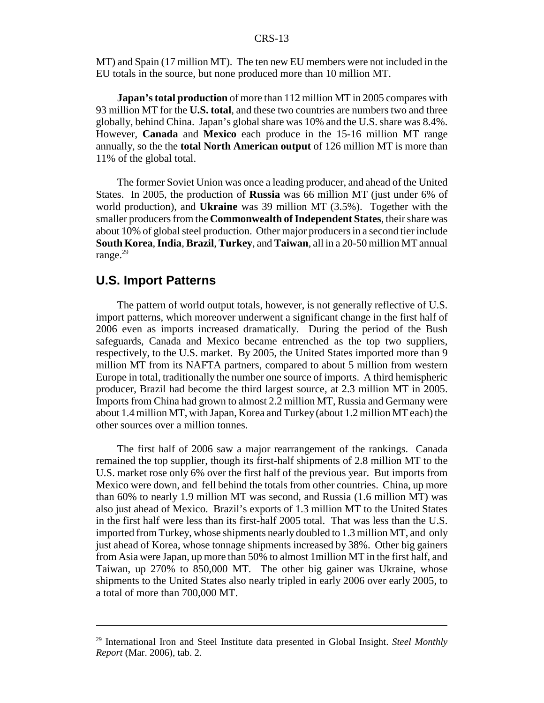MT) and Spain (17 million MT). The ten new EU members were not included in the EU totals in the source, but none produced more than 10 million MT.

**Japan's total production** of more than 112 million MT in 2005 compares with 93 million MT for the **U.S. total**, and these two countries are numbers two and three globally, behind China. Japan's global share was 10% and the U.S. share was 8.4%. However, **Canada** and **Mexico** each produce in the 15-16 million MT range annually, so the the **total North American output** of 126 million MT is more than 11% of the global total.

The former Soviet Union was once a leading producer, and ahead of the United States. In 2005, the production of **Russia** was 66 million MT (just under 6% of world production), and **Ukraine** was 39 million MT (3.5%). Together with the smaller producers from the **Commonwealth of Independent States**, their share was about 10% of global steel production. Other major producers in a second tier include **South Korea**, **India**, **Brazil**, **Turkey**, and **Taiwan**, all in a 20-50 million MT annual range.<sup>29</sup>

# **U.S. Import Patterns**

The pattern of world output totals, however, is not generally reflective of U.S. import patterns, which moreover underwent a significant change in the first half of 2006 even as imports increased dramatically. During the period of the Bush safeguards, Canada and Mexico became entrenched as the top two suppliers, respectively, to the U.S. market. By 2005, the United States imported more than 9 million MT from its NAFTA partners, compared to about 5 million from western Europe in total, traditionally the number one source of imports. A third hemispheric producer, Brazil had become the third largest source, at 2.3 million MT in 2005. Imports from China had grown to almost 2.2 million MT, Russia and Germany were about 1.4 million MT, with Japan, Korea and Turkey (about 1.2 million MT each) the other sources over a million tonnes.

The first half of 2006 saw a major rearrangement of the rankings. Canada remained the top supplier, though its first-half shipments of 2.8 million MT to the U.S. market rose only 6% over the first half of the previous year. But imports from Mexico were down, and fell behind the totals from other countries. China, up more than 60% to nearly 1.9 million MT was second, and Russia (1.6 million MT) was also just ahead of Mexico. Brazil's exports of 1.3 million MT to the United States in the first half were less than its first-half 2005 total. That was less than the U.S. imported from Turkey, whose shipments nearly doubled to 1.3 million MT, and only just ahead of Korea, whose tonnage shipments increased by 38%. Other big gainers from Asia were Japan, up more than 50% to almost 1million MT in the first half, and Taiwan, up 270% to 850,000 MT. The other big gainer was Ukraine, whose shipments to the United States also nearly tripled in early 2006 over early 2005, to a total of more than 700,000 MT.

<sup>29</sup> International Iron and Steel Institute data presented in Global Insight. *Steel Monthly Report* (Mar. 2006), tab. 2.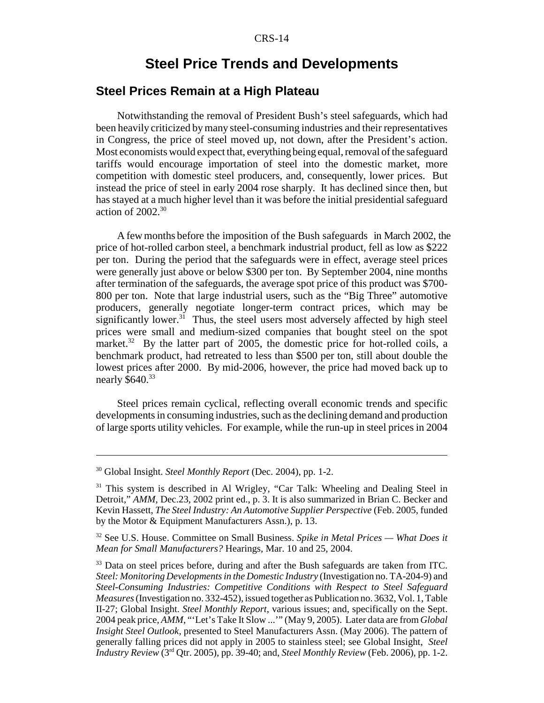# **Steel Price Trends and Developments**

# **Steel Prices Remain at a High Plateau**

Notwithstanding the removal of President Bush's steel safeguards, which had been heavily criticized by many steel-consuming industries and their representatives in Congress, the price of steel moved up, not down, after the President's action. Most economists would expect that, everything being equal, removal of the safeguard tariffs would encourage importation of steel into the domestic market, more competition with domestic steel producers, and, consequently, lower prices. But instead the price of steel in early 2004 rose sharply. It has declined since then, but has stayed at a much higher level than it was before the initial presidential safeguard action of  $2002$ <sup>30</sup>

A few months before the imposition of the Bush safeguards in March 2002, the price of hot-rolled carbon steel, a benchmark industrial product, fell as low as \$222 per ton. During the period that the safeguards were in effect, average steel prices were generally just above or below \$300 per ton. By September 2004, nine months after termination of the safeguards, the average spot price of this product was \$700- 800 per ton. Note that large industrial users, such as the "Big Three" automotive producers, generally negotiate longer-term contract prices, which may be significantly lower.<sup>31</sup> Thus, the steel users most adversely affected by high steel prices were small and medium-sized companies that bought steel on the spot market.<sup>32</sup> By the latter part of 2005, the domestic price for hot-rolled coils, a benchmark product, had retreated to less than \$500 per ton, still about double the lowest prices after 2000. By mid-2006, however, the price had moved back up to nearly \$640.<sup>33</sup>

Steel prices remain cyclical, reflecting overall economic trends and specific developments in consuming industries, such as the declining demand and production of large sports utility vehicles. For example, while the run-up in steel prices in 2004

<sup>30</sup> Global Insight. *Steel Monthly Report* (Dec. 2004), pp. 1-2.

<sup>&</sup>lt;sup>31</sup> This system is described in Al Wrigley, "Car Talk: Wheeling and Dealing Steel in Detroit," *AMM*, Dec.23, 2002 print ed., p. 3. It is also summarized in Brian C. Becker and Kevin Hassett, *The Steel Industry: An Automotive Supplier Perspective* (Feb. 2005, funded by the Motor & Equipment Manufacturers Assn.), p. 13.

<sup>32</sup> See U.S. House. Committee on Small Business. *Spike in Metal Prices — What Does it Mean for Small Manufacturers?* Hearings, Mar. 10 and 25, 2004.

<sup>&</sup>lt;sup>33</sup> Data on steel prices before, during and after the Bush safeguards are taken from ITC. *Steel: Monitoring Developments in the Domestic Industry* (Investigation no. TA-204-9) and *Steel-Consuming Industries: Competitive Conditions with Respect to Steel Safeguard Measures* (Investigation no. 332-452), issued together as Publication no. 3632, Vol. 1, Table II-27; Global Insight. *Steel Monthly Report*, various issues; and, specifically on the Sept. 2004 peak price, *AMM*, "'Let's Take It Slow ...'" (May 9, 2005). Later data are from *Global Insight Steel Outlook*, presented to Steel Manufacturers Assn. (May 2006). The pattern of generally falling prices did not apply in 2005 to stainless steel; see Global Insight, *Steel Industry Review* (3rd Qtr. 2005), pp. 39-40; and, *Steel Monthly Review* (Feb. 2006), pp. 1-2.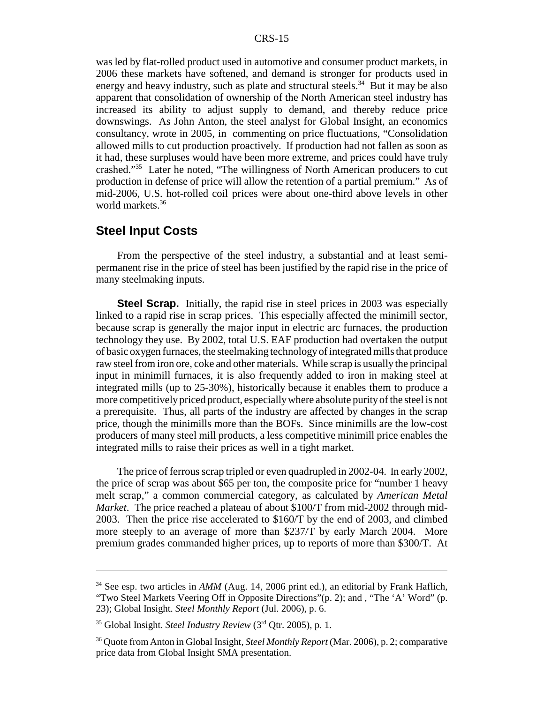was led by flat-rolled product used in automotive and consumer product markets, in 2006 these markets have softened, and demand is stronger for products used in energy and heavy industry, such as plate and structural steels.<sup>34</sup> But it may be also apparent that consolidation of ownership of the North American steel industry has increased its ability to adjust supply to demand, and thereby reduce price downswings. As John Anton, the steel analyst for Global Insight, an economics consultancy, wrote in 2005, in commenting on price fluctuations, "Consolidation allowed mills to cut production proactively. If production had not fallen as soon as it had, these surpluses would have been more extreme, and prices could have truly crashed."35 Later he noted, "The willingness of North American producers to cut production in defense of price will allow the retention of a partial premium." As of mid-2006, U.S. hot-rolled coil prices were about one-third above levels in other world markets.<sup>36</sup>

# **Steel Input Costs**

From the perspective of the steel industry, a substantial and at least semipermanent rise in the price of steel has been justified by the rapid rise in the price of many steelmaking inputs.

**Steel Scrap.** Initially, the rapid rise in steel prices in 2003 was especially linked to a rapid rise in scrap prices. This especially affected the minimill sector, because scrap is generally the major input in electric arc furnaces, the production technology they use. By 2002, total U.S. EAF production had overtaken the output of basic oxygen furnaces, the steelmaking technology of integrated mills that produce raw steel from iron ore, coke and other materials. While scrap is usually the principal input in minimill furnaces, it is also frequently added to iron in making steel at integrated mills (up to 25-30%), historically because it enables them to produce a more competitively priced product, especially where absolute purity of the steel is not a prerequisite. Thus, all parts of the industry are affected by changes in the scrap price, though the minimills more than the BOFs. Since minimills are the low-cost producers of many steel mill products, a less competitive minimill price enables the integrated mills to raise their prices as well in a tight market.

The price of ferrous scrap tripled or even quadrupled in 2002-04. In early 2002, the price of scrap was about \$65 per ton, the composite price for "number 1 heavy melt scrap," a common commercial category, as calculated by *American Metal Market*. The price reached a plateau of about \$100/T from mid-2002 through mid-2003. Then the price rise accelerated to \$160/T by the end of 2003, and climbed more steeply to an average of more than \$237/T by early March 2004. More premium grades commanded higher prices, up to reports of more than \$300/T. At

<sup>&</sup>lt;sup>34</sup> See esp. two articles in *AMM* (Aug. 14, 2006 print ed.), an editorial by Frank Haflich, "Two Steel Markets Veering Off in Opposite Directions"(p. 2); and , "The 'A' Word" (p. 23); Global Insight. *Steel Monthly Report* (Jul. 2006), p. 6.

<sup>&</sup>lt;sup>35</sup> Global Insight. *Steel Industry Review* (3<sup>rd</sup> Qtr. 2005), p. 1.

<sup>36</sup> Quote from Anton in Global Insight, *Steel Monthly Report* (Mar. 2006), p. 2; comparative price data from Global Insight SMA presentation.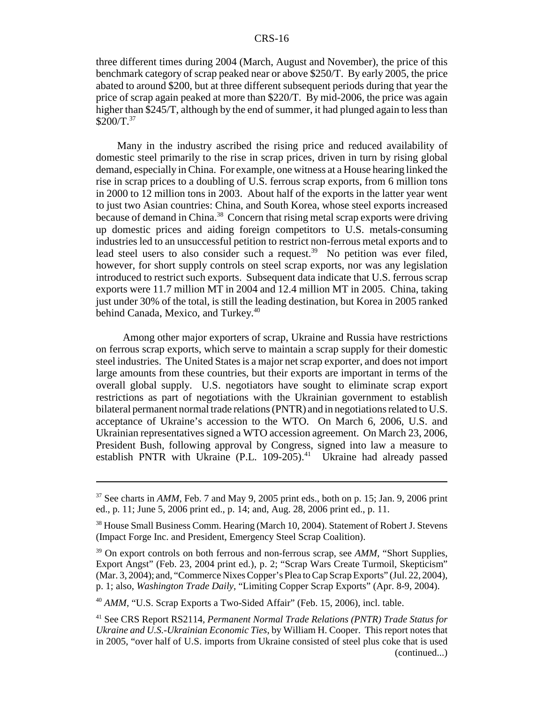three different times during 2004 (March, August and November), the price of this benchmark category of scrap peaked near or above \$250/T. By early 2005, the price abated to around \$200, but at three different subsequent periods during that year the price of scrap again peaked at more than \$220/T. By mid-2006, the price was again higher than \$245/T, although by the end of summer, it had plunged again to less than  $$200/T.<sup>37</sup>$ 

Many in the industry ascribed the rising price and reduced availability of domestic steel primarily to the rise in scrap prices, driven in turn by rising global demand, especially in China. For example, one witness at a House hearing linked the rise in scrap prices to a doubling of U.S. ferrous scrap exports, from 6 million tons in 2000 to 12 million tons in 2003. About half of the exports in the latter year went to just two Asian countries: China, and South Korea, whose steel exports increased because of demand in China.<sup>38</sup> Concern that rising metal scrap exports were driving up domestic prices and aiding foreign competitors to U.S. metals-consuming industries led to an unsuccessful petition to restrict non-ferrous metal exports and to lead steel users to also consider such a request.<sup>39</sup> No petition was ever filed, however, for short supply controls on steel scrap exports, nor was any legislation introduced to restrict such exports. Subsequent data indicate that U.S. ferrous scrap exports were 11.7 million MT in 2004 and 12.4 million MT in 2005. China, taking just under 30% of the total, is still the leading destination, but Korea in 2005 ranked behind Canada, Mexico, and Turkey.<sup>40</sup>

 Among other major exporters of scrap, Ukraine and Russia have restrictions on ferrous scrap exports, which serve to maintain a scrap supply for their domestic steel industries. The United States is a major net scrap exporter, and does not import large amounts from these countries, but their exports are important in terms of the overall global supply. U.S. negotiators have sought to eliminate scrap export restrictions as part of negotiations with the Ukrainian government to establish bilateral permanent normal trade relations (PNTR) and in negotiations related to U.S. acceptance of Ukraine's accession to the WTO. On March 6, 2006, U.S. and Ukrainian representatives signed a WTO accession agreement. On March 23, 2006, President Bush, following approval by Congress, signed into law a measure to establish PNTR with Ukraine  $(P.L. 109-205)^{41}$  Ukraine had already passed

 $37$  See charts in *AMM*, Feb. 7 and May 9, 2005 print eds., both on p. 15; Jan. 9, 2006 print ed., p. 11; June 5, 2006 print ed., p. 14; and, Aug. 28, 2006 print ed., p. 11.

<sup>&</sup>lt;sup>38</sup> House Small Business Comm. Hearing (March 10, 2004). Statement of Robert J. Stevens (Impact Forge Inc. and President, Emergency Steel Scrap Coalition).

<sup>&</sup>lt;sup>39</sup> On export controls on both ferrous and non-ferrous scrap, see *AMM*, "Short Supplies, Export Angst" (Feb. 23, 2004 print ed.), p. 2; "Scrap Wars Create Turmoil, Skepticism" (Mar. 3, 2004); and, "Commerce Nixes Copper's Plea to Cap Scrap Exports" (Jul. 22, 2004), p. 1; also, *Washington Trade Daily*, "Limiting Copper Scrap Exports" (Apr. 8-9, 2004).

<sup>&</sup>lt;sup>40</sup> *AMM*, "U.S. Scrap Exports a Two-Sided Affair" (Feb. 15, 2006), incl. table.

<sup>41</sup> See CRS Report RS2114, *Permanent Normal Trade Relations (PNTR) Trade Status for Ukraine and U.S.-Ukrainian Economic Ties*, by William H. Cooper. This report notes that in 2005, "over half of U.S. imports from Ukraine consisted of steel plus coke that is used (continued...)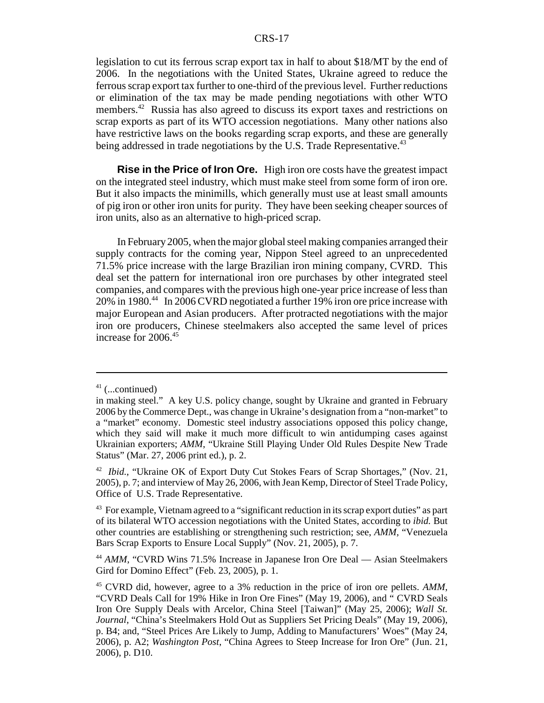legislation to cut its ferrous scrap export tax in half to about \$18/MT by the end of 2006. In the negotiations with the United States, Ukraine agreed to reduce the ferrous scrap export tax further to one-third of the previous level. Further reductions or elimination of the tax may be made pending negotiations with other WTO members.<sup>42</sup> Russia has also agreed to discuss its export taxes and restrictions on scrap exports as part of its WTO accession negotiations. Many other nations also have restrictive laws on the books regarding scrap exports, and these are generally being addressed in trade negotiations by the U.S. Trade Representative.<sup>43</sup>

**Rise in the Price of Iron Ore.** High iron ore costs have the greatest impact on the integrated steel industry, which must make steel from some form of iron ore. But it also impacts the minimills, which generally must use at least small amounts of pig iron or other iron units for purity. They have been seeking cheaper sources of iron units, also as an alternative to high-priced scrap.

In February 2005, when the major global steel making companies arranged their supply contracts for the coming year, Nippon Steel agreed to an unprecedented 71.5% price increase with the large Brazilian iron mining company, CVRD. This deal set the pattern for international iron ore purchases by other integrated steel companies, and compares with the previous high one-year price increase of less than 20% in 1980.<sup>44</sup> In 2006 CVRD negotiated a further 19% iron ore price increase with major European and Asian producers. After protracted negotiations with the major iron ore producers, Chinese steelmakers also accepted the same level of prices increase for 2006.45

 $41$  (...continued)

in making steel." A key U.S. policy change, sought by Ukraine and granted in February 2006 by the Commerce Dept., was change in Ukraine's designation from a "non-market" to a "market" economy. Domestic steel industry associations opposed this policy change, which they said will make it much more difficult to win antidumping cases against Ukrainian exporters; *AMM*, "Ukraine Still Playing Under Old Rules Despite New Trade Status" (Mar. 27, 2006 print ed.), p. 2.

<sup>&</sup>lt;sup>42</sup> *Ibid.*, "Ukraine OK of Export Duty Cut Stokes Fears of Scrap Shortages," (Nov. 21, 2005), p. 7; and interview of May 26, 2006, with Jean Kemp, Director of Steel Trade Policy, Office of U.S. Trade Representative.

 $43$  For example, Vietnam agreed to a "significant reduction in its scrap export duties" as part of its bilateral WTO accession negotiations with the United States, according to *ibid.* But other countries are establishing or strengthening such restriction; see, *AMM,* "Venezuela Bars Scrap Exports to Ensure Local Supply" (Nov. 21, 2005), p. 7.

<sup>44</sup> *AMM*, "CVRD Wins 71.5% Increase in Japanese Iron Ore Deal — Asian Steelmakers Gird for Domino Effect" (Feb. 23, 2005), p. 1.

<sup>45</sup> CVRD did, however, agree to a 3% reduction in the price of iron ore pellets. *AMM*, "CVRD Deals Call for 19% Hike in Iron Ore Fines" (May 19, 2006), and " CVRD Seals Iron Ore Supply Deals with Arcelor, China Steel [Taiwan]" (May 25, 2006); *Wall St. Journal*, "China's Steelmakers Hold Out as Suppliers Set Pricing Deals" (May 19, 2006), p. B4; and, "Steel Prices Are Likely to Jump, Adding to Manufacturers' Woes" (May 24, 2006), p. A2; *Washington Post*, "China Agrees to Steep Increase for Iron Ore" (Jun. 21, 2006), p. D10.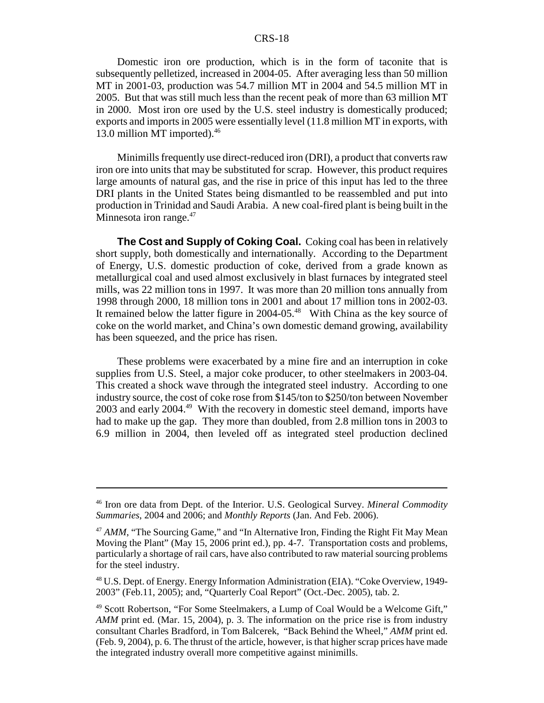Domestic iron ore production, which is in the form of taconite that is subsequently pelletized, increased in 2004-05. After averaging less than 50 million MT in 2001-03, production was 54.7 million MT in 2004 and 54.5 million MT in 2005. But that was still much less than the recent peak of more than 63 million MT in 2000. Most iron ore used by the U.S. steel industry is domestically produced; exports and imports in 2005 were essentially level (11.8 million MT in exports, with 13.0 million MT imported).<sup>46</sup>

Minimills frequently use direct-reduced iron (DRI), a product that converts raw iron ore into units that may be substituted for scrap. However, this product requires large amounts of natural gas, and the rise in price of this input has led to the three DRI plants in the United States being dismantled to be reassembled and put into production in Trinidad and Saudi Arabia. A new coal-fired plant is being built in the Minnesota iron range. $47$ 

**The Cost and Supply of Coking Coal.** Coking coal has been in relatively short supply, both domestically and internationally. According to the Department of Energy, U.S. domestic production of coke, derived from a grade known as metallurgical coal and used almost exclusively in blast furnaces by integrated steel mills, was 22 million tons in 1997. It was more than 20 million tons annually from 1998 through 2000, 18 million tons in 2001 and about 17 million tons in 2002-03. It remained below the latter figure in 2004-05.<sup>48</sup> With China as the key source of coke on the world market, and China's own domestic demand growing, availability has been squeezed, and the price has risen.

These problems were exacerbated by a mine fire and an interruption in coke supplies from U.S. Steel, a major coke producer, to other steelmakers in 2003-04. This created a shock wave through the integrated steel industry. According to one industry source, the cost of coke rose from \$145/ton to \$250/ton between November 2003 and early 2004.49 With the recovery in domestic steel demand, imports have had to make up the gap. They more than doubled, from 2.8 million tons in 2003 to 6.9 million in 2004, then leveled off as integrated steel production declined

<sup>46</sup> Iron ore data from Dept. of the Interior. U.S. Geological Survey. *Mineral Commodity Summaries*, 2004 and 2006; and *Monthly Reports* (Jan. And Feb. 2006).

<sup>&</sup>lt;sup>47</sup> AMM, "The Sourcing Game," and "In Alternative Iron, Finding the Right Fit May Mean Moving the Plant" (May 15, 2006 print ed.), pp. 4-7. Transportation costs and problems, particularly a shortage of rail cars, have also contributed to raw material sourcing problems for the steel industry.

<sup>&</sup>lt;sup>48</sup> U.S. Dept. of Energy. Energy Information Administration (EIA). "Coke Overview, 1949-2003" (Feb.11, 2005); and, "Quarterly Coal Report" (Oct.-Dec. 2005), tab. 2.

<sup>49</sup> Scott Robertson, "For Some Steelmakers, a Lump of Coal Would be a Welcome Gift," *AMM* print ed. (Mar. 15, 2004), p. 3. The information on the price rise is from industry consultant Charles Bradford, in Tom Balcerek, "Back Behind the Wheel," *AMM* print ed. (Feb. 9, 2004), p. 6. The thrust of the article, however, is that higher scrap prices have made the integrated industry overall more competitive against minimills.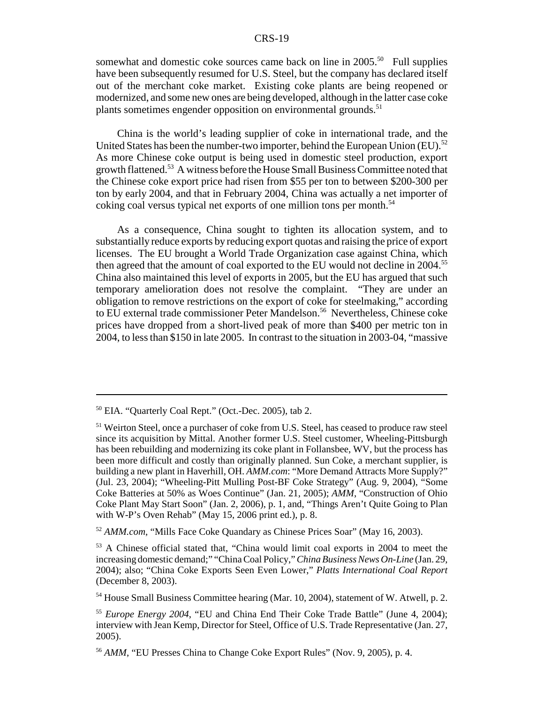somewhat and domestic coke sources came back on line in  $2005$ <sup>50</sup> Full supplies have been subsequently resumed for U.S. Steel, but the company has declared itself out of the merchant coke market. Existing coke plants are being reopened or modernized, and some new ones are being developed, although in the latter case coke plants sometimes engender opposition on environmental grounds.<sup>51</sup>

China is the world's leading supplier of coke in international trade, and the United States has been the number-two importer, behind the European Union (EU).<sup>52</sup> As more Chinese coke output is being used in domestic steel production, export growth flattened.<sup>53</sup> A witness before the House Small Business Committee noted that the Chinese coke export price had risen from \$55 per ton to between \$200-300 per ton by early 2004, and that in February 2004, China was actually a net importer of coking coal versus typical net exports of one million tons per month.<sup>54</sup>

As a consequence, China sought to tighten its allocation system, and to substantially reduce exports by reducing export quotas and raising the price of export licenses. The EU brought a World Trade Organization case against China, which then agreed that the amount of coal exported to the EU would not decline in 2004.<sup>55</sup> China also maintained this level of exports in 2005, but the EU has argued that such temporary amelioration does not resolve the complaint. "They are under an obligation to remove restrictions on the export of coke for steelmaking," according to EU external trade commissioner Peter Mandelson.<sup>56</sup> Nevertheless, Chinese coke prices have dropped from a short-lived peak of more than \$400 per metric ton in 2004, to less than \$150 in late 2005. In contrast to the situation in 2003-04, "massive

<sup>52</sup> *AMM.com*, "Mills Face Coke Quandary as Chinese Prices Soar" (May 16, 2003).

<sup>54</sup> House Small Business Committee hearing (Mar. 10, 2004), statement of W. Atwell, p. 2.

<sup>50</sup> EIA. "Quarterly Coal Rept." (Oct.-Dec. 2005), tab 2.

<sup>&</sup>lt;sup>51</sup> Weirton Steel, once a purchaser of coke from U.S. Steel, has ceased to produce raw steel since its acquisition by Mittal. Another former U.S. Steel customer, Wheeling-Pittsburgh has been rebuilding and modernizing its coke plant in Follansbee, WV, but the process has been more difficult and costly than originally planned. Sun Coke, a merchant supplier, is building a new plant in Haverhill, OH. *AMM.com*: "More Demand Attracts More Supply?" (Jul. 23, 2004); "Wheeling-Pitt Mulling Post-BF Coke Strategy" (Aug. 9, 2004), "Some Coke Batteries at 50% as Woes Continue" (Jan. 21, 2005); *AMM*, "Construction of Ohio Coke Plant May Start Soon" (Jan. 2, 2006), p. 1, and, "Things Aren't Quite Going to Plan with W-P's Oven Rehab" (May 15, 2006 print ed.), p. 8.

<sup>53</sup> A Chinese official stated that, "China would limit coal exports in 2004 to meet the increasing domestic demand;" "China Coal Policy," *China Business News On-Line* (Jan. 29, 2004); also; "China Coke Exports Seen Even Lower," *Platts International Coal Report* (December 8, 2003).

<sup>55</sup> *Europe Energy 2004*, "EU and China End Their Coke Trade Battle" (June 4, 2004); interview with Jean Kemp, Director for Steel, Office of U.S. Trade Representative (Jan. 27, 2005).

<sup>56</sup> *AMM*, "EU Presses China to Change Coke Export Rules" (Nov. 9, 2005), p. 4.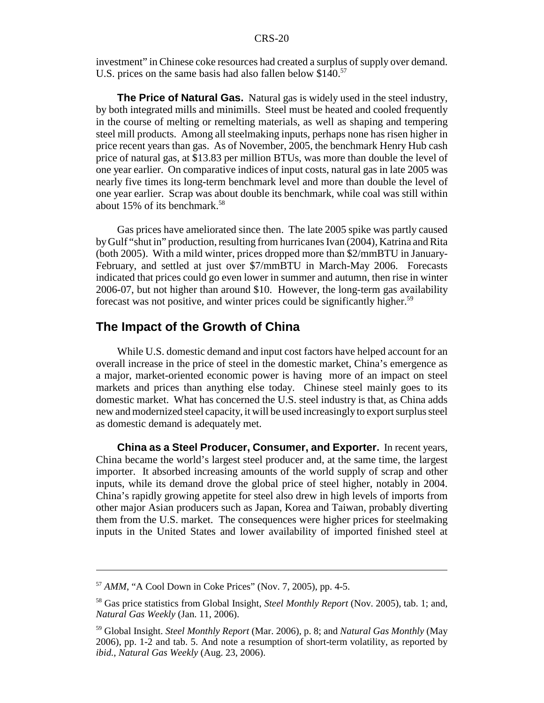investment" in Chinese coke resources had created a surplus of supply over demand. U.S. prices on the same basis had also fallen below \$140.<sup>57</sup>

**The Price of Natural Gas.** Natural gas is widely used in the steel industry, by both integrated mills and minimills. Steel must be heated and cooled frequently in the course of melting or remelting materials, as well as shaping and tempering steel mill products. Among all steelmaking inputs, perhaps none has risen higher in price recent years than gas. As of November, 2005, the benchmark Henry Hub cash price of natural gas, at \$13.83 per million BTUs, was more than double the level of one year earlier. On comparative indices of input costs, natural gas in late 2005 was nearly five times its long-term benchmark level and more than double the level of one year earlier. Scrap was about double its benchmark, while coal was still within about 15% of its benchmark.<sup>58</sup>

Gas prices have ameliorated since then. The late 2005 spike was partly caused by Gulf "shut in" production, resulting from hurricanes Ivan (2004), Katrina and Rita (both 2005). With a mild winter, prices dropped more than \$2/mmBTU in January-February, and settled at just over \$7/mmBTU in March-May 2006. Forecasts indicated that prices could go even lower in summer and autumn, then rise in winter 2006-07, but not higher than around \$10. However, the long-term gas availability forecast was not positive, and winter prices could be significantly higher.<sup>59</sup>

### **The Impact of the Growth of China**

While U.S. domestic demand and input cost factors have helped account for an overall increase in the price of steel in the domestic market, China's emergence as a major, market-oriented economic power is having more of an impact on steel markets and prices than anything else today. Chinese steel mainly goes to its domestic market. What has concerned the U.S. steel industry is that, as China adds new and modernized steel capacity, it will be used increasingly to export surplus steel as domestic demand is adequately met.

**China as a Steel Producer, Consumer, and Exporter.** In recent years, China became the world's largest steel producer and, at the same time, the largest importer. It absorbed increasing amounts of the world supply of scrap and other inputs, while its demand drove the global price of steel higher, notably in 2004. China's rapidly growing appetite for steel also drew in high levels of imports from other major Asian producers such as Japan, Korea and Taiwan, probably diverting them from the U.S. market. The consequences were higher prices for steelmaking inputs in the United States and lower availability of imported finished steel at

<sup>57</sup> *AMM*, "A Cool Down in Coke Prices" (Nov. 7, 2005), pp. 4-5.

<sup>58</sup> Gas price statistics from Global Insight, *Steel Monthly Report* (Nov. 2005), tab. 1; and, *Natural Gas Weekly* (Jan. 11, 2006).

<sup>59</sup> Global Insight. *Steel Monthly Report* (Mar. 2006), p. 8; and *Natural Gas Monthly* (May 2006), pp. 1-2 and tab. 5. And note a resumption of short-term volatility, as reported by *ibid.*, *Natural Gas Weekly* (Aug. 23, 2006).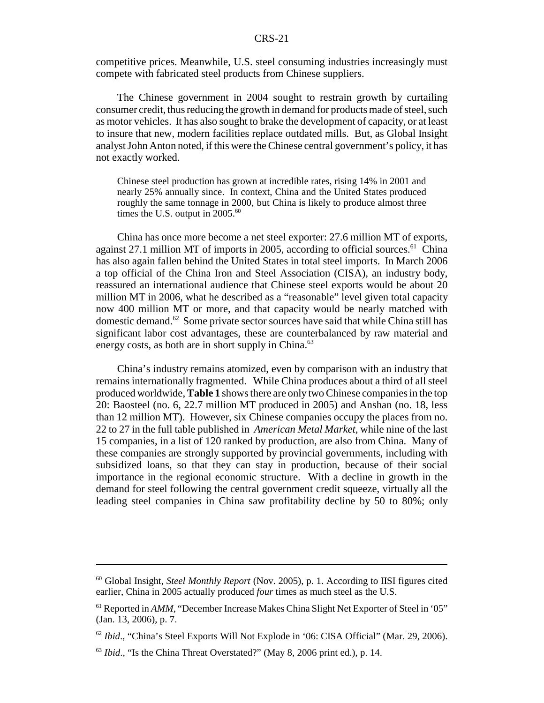competitive prices. Meanwhile, U.S. steel consuming industries increasingly must compete with fabricated steel products from Chinese suppliers.

The Chinese government in 2004 sought to restrain growth by curtailing consumer credit, thus reducing the growth in demand for products made of steel, such as motor vehicles. It has also sought to brake the development of capacity, or at least to insure that new, modern facilities replace outdated mills. But, as Global Insight analyst John Anton noted, if this were the Chinese central government's policy, it has not exactly worked.

Chinese steel production has grown at incredible rates, rising 14% in 2001 and nearly 25% annually since. In context, China and the United States produced roughly the same tonnage in 2000, but China is likely to produce almost three times the U.S. output in  $2005.^{60}$ 

China has once more become a net steel exporter: 27.6 million MT of exports, against 27.1 million MT of imports in 2005, according to official sources.<sup>61</sup> China has also again fallen behind the United States in total steel imports. In March 2006 a top official of the China Iron and Steel Association (CISA), an industry body, reassured an international audience that Chinese steel exports would be about 20 million MT in 2006, what he described as a "reasonable" level given total capacity now 400 million MT or more, and that capacity would be nearly matched with domestic demand.62 Some private sector sources have said that while China still has significant labor cost advantages, these are counterbalanced by raw material and energy costs, as both are in short supply in China.<sup>63</sup>

China's industry remains atomized, even by comparison with an industry that remains internationally fragmented. While China produces about a third of all steel produced worldwide, **Table 1** shows there are only two Chinese companies in the top 20: Baosteel (no. 6, 22.7 million MT produced in 2005) and Anshan (no. 18, less than 12 million MT). However, six Chinese companies occupy the places from no. 22 to 27 in the full table published in *American Metal Market*, while nine of the last 15 companies, in a list of 120 ranked by production, are also from China. Many of these companies are strongly supported by provincial governments, including with subsidized loans, so that they can stay in production, because of their social importance in the regional economic structure. With a decline in growth in the demand for steel following the central government credit squeeze, virtually all the leading steel companies in China saw profitability decline by 50 to 80%; only

<sup>60</sup> Global Insight, *Steel Monthly Report* (Nov. 2005), p. 1. According to IISI figures cited earlier, China in 2005 actually produced *four* times as much steel as the U.S.

<sup>&</sup>lt;sup>61</sup> Reported in *AMM*, "December Increase Makes China Slight Net Exporter of Steel in '05" (Jan. 13, 2006), p. 7.

<sup>62</sup> *Ibid*., "China's Steel Exports Will Not Explode in '06: CISA Official" (Mar. 29, 2006).

<sup>63</sup> *Ibid*., "Is the China Threat Overstated?" (May 8, 2006 print ed.), p. 14.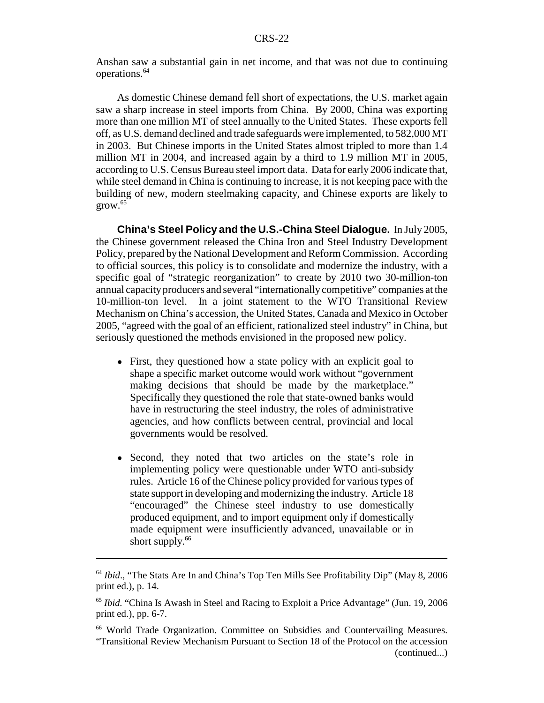Anshan saw a substantial gain in net income, and that was not due to continuing operations.64

As domestic Chinese demand fell short of expectations, the U.S. market again saw a sharp increase in steel imports from China. By 2000, China was exporting more than one million MT of steel annually to the United States. These exports fell off, as U.S. demand declined and trade safeguards were implemented, to 582,000 MT in 2003. But Chinese imports in the United States almost tripled to more than 1.4 million MT in 2004, and increased again by a third to 1.9 million MT in 2005, according to U.S. Census Bureau steel import data. Data for early 2006 indicate that, while steel demand in China is continuing to increase, it is not keeping pace with the building of new, modern steelmaking capacity, and Chinese exports are likely to  $\text{grow}$ .  $^{65}$ 

**China's Steel Policy and the U.S.-China Steel Dialogue.** In July 2005, the Chinese government released the China Iron and Steel Industry Development Policy, prepared by the National Development and Reform Commission. According to official sources, this policy is to consolidate and modernize the industry, with a specific goal of "strategic reorganization" to create by 2010 two 30-million-ton annual capacity producers and several "internationally competitive" companies at the 10-million-ton level. In a joint statement to the WTO Transitional Review Mechanism on China's accession, the United States, Canada and Mexico in October 2005, "agreed with the goal of an efficient, rationalized steel industry" in China, but seriously questioned the methods envisioned in the proposed new policy.

- First, they questioned how a state policy with an explicit goal to shape a specific market outcome would work without "government making decisions that should be made by the marketplace." Specifically they questioned the role that state-owned banks would have in restructuring the steel industry, the roles of administrative agencies, and how conflicts between central, provincial and local governments would be resolved.
- Second, they noted that two articles on the state's role in implementing policy were questionable under WTO anti-subsidy rules. Article 16 of the Chinese policy provided for various types of state support in developing and modernizing the industry. Article 18 "encouraged" the Chinese steel industry to use domestically produced equipment, and to import equipment only if domestically made equipment were insufficiently advanced, unavailable or in short supply.<sup>66</sup>

<sup>64</sup> *Ibid*., "The Stats Are In and China's Top Ten Mills See Profitability Dip" (May 8, 2006 print ed.), p. 14.

<sup>65</sup> *Ibid.* "China Is Awash in Steel and Racing to Exploit a Price Advantage" (Jun. 19, 2006 print ed.), pp. 6-7.

<sup>66</sup> World Trade Organization. Committee on Subsidies and Countervailing Measures. "Transitional Review Mechanism Pursuant to Section 18 of the Protocol on the accession (continued...)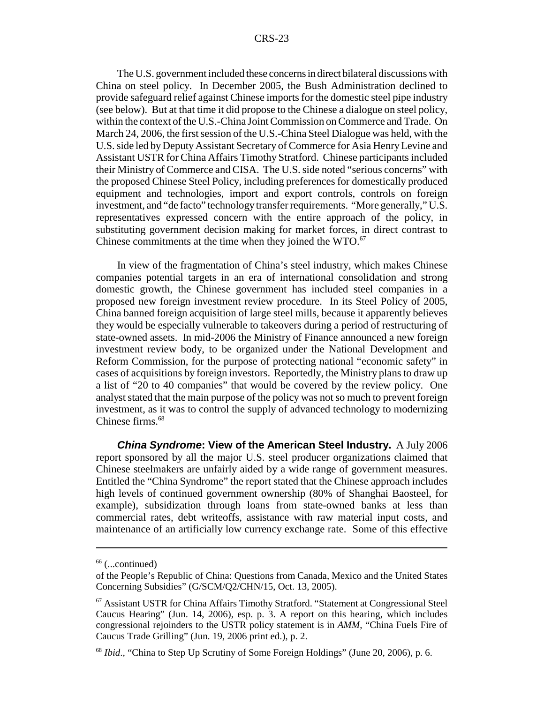The U.S. government included these concerns in direct bilateral discussions with China on steel policy. In December 2005, the Bush Administration declined to provide safeguard relief against Chinese imports for the domestic steel pipe industry (see below). But at that time it did propose to the Chinese a dialogue on steel policy, within the context of the U.S.-China Joint Commission on Commerce and Trade. On March 24, 2006, the first session of the U.S.-China Steel Dialogue was held, with the U.S. side led by Deputy Assistant Secretary of Commerce for Asia Henry Levine and Assistant USTR for China Affairs Timothy Stratford. Chinese participants included their Ministry of Commerce and CISA. The U.S. side noted "serious concerns" with the proposed Chinese Steel Policy, including preferences for domestically produced equipment and technologies, import and export controls, controls on foreign investment, and "de facto" technology transfer requirements. "More generally," U.S. representatives expressed concern with the entire approach of the policy, in substituting government decision making for market forces, in direct contrast to Chinese commitments at the time when they joined the WTO.<sup>67</sup>

In view of the fragmentation of China's steel industry, which makes Chinese companies potential targets in an era of international consolidation and strong domestic growth, the Chinese government has included steel companies in a proposed new foreign investment review procedure. In its Steel Policy of 2005, China banned foreign acquisition of large steel mills, because it apparently believes they would be especially vulnerable to takeovers during a period of restructuring of state-owned assets. In mid-2006 the Ministry of Finance announced a new foreign investment review body, to be organized under the National Development and Reform Commission, for the purpose of protecting national "economic safety" in cases of acquisitions by foreign investors. Reportedly, the Ministry plans to draw up a list of "20 to 40 companies" that would be covered by the review policy. One analyst stated that the main purpose of the policy was not so much to prevent foreign investment, as it was to control the supply of advanced technology to modernizing Chinese firms.<sup>68</sup>

*China Syndrome***: View of the American Steel Industry.** A July 2006 report sponsored by all the major U.S. steel producer organizations claimed that Chinese steelmakers are unfairly aided by a wide range of government measures. Entitled the "China Syndrome" the report stated that the Chinese approach includes high levels of continued government ownership (80% of Shanghai Baosteel, for example), subsidization through loans from state-owned banks at less than commercial rates, debt writeoffs, assistance with raw material input costs, and maintenance of an artificially low currency exchange rate. Some of this effective

 $66$  (...continued)

of the People's Republic of China: Questions from Canada, Mexico and the United States Concerning Subsidies" (G/SCM/Q2/CHN/15, Oct. 13, 2005).

<sup>67</sup> Assistant USTR for China Affairs Timothy Stratford. "Statement at Congressional Steel Caucus Hearing" (Jun. 14, 2006), esp. p. 3. A report on this hearing, which includes congressional rejoinders to the USTR policy statement is in *AMM*, "China Fuels Fire of Caucus Trade Grilling" (Jun. 19, 2006 print ed.), p. 2.

<sup>68</sup> *Ibid*., "China to Step Up Scrutiny of Some Foreign Holdings" (June 20, 2006), p. 6.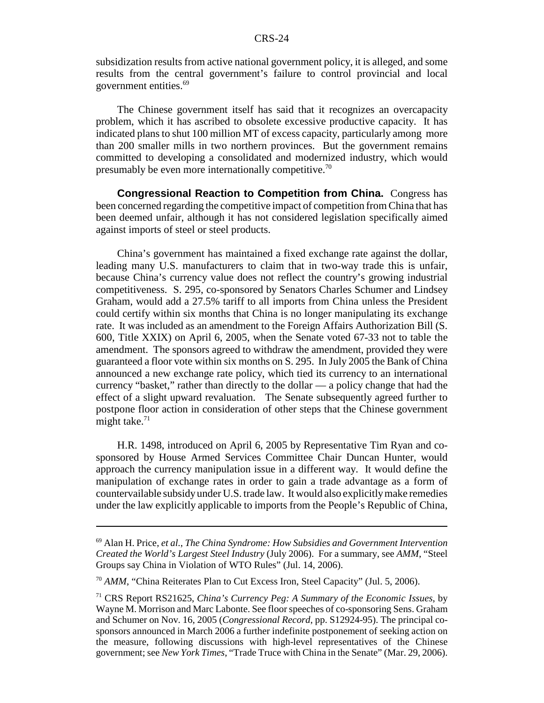subsidization results from active national government policy, it is alleged, and some results from the central government's failure to control provincial and local government entities.<sup>69</sup>

The Chinese government itself has said that it recognizes an overcapacity problem, which it has ascribed to obsolete excessive productive capacity. It has indicated plans to shut 100 million MT of excess capacity, particularly among more than 200 smaller mills in two northern provinces. But the government remains committed to developing a consolidated and modernized industry, which would presumably be even more internationally competitive.<sup>70</sup>

**Congressional Reaction to Competition from China.** Congress has been concerned regarding the competitive impact of competition from China that has been deemed unfair, although it has not considered legislation specifically aimed against imports of steel or steel products.

China's government has maintained a fixed exchange rate against the dollar, leading many U.S. manufacturers to claim that in two-way trade this is unfair, because China's currency value does not reflect the country's growing industrial competitiveness. S. 295, co-sponsored by Senators Charles Schumer and Lindsey Graham, would add a 27.5% tariff to all imports from China unless the President could certify within six months that China is no longer manipulating its exchange rate. It was included as an amendment to the Foreign Affairs Authorization Bill (S. 600, Title XXIX) on April 6, 2005, when the Senate voted 67-33 not to table the amendment. The sponsors agreed to withdraw the amendment, provided they were guaranteed a floor vote within six months on S. 295. In July 2005 the Bank of China announced a new exchange rate policy, which tied its currency to an international currency "basket," rather than directly to the dollar — a policy change that had the effect of a slight upward revaluation. The Senate subsequently agreed further to postpone floor action in consideration of other steps that the Chinese government might take. $71$ 

H.R. 1498, introduced on April 6, 2005 by Representative Tim Ryan and cosponsored by House Armed Services Committee Chair Duncan Hunter, would approach the currency manipulation issue in a different way. It would define the manipulation of exchange rates in order to gain a trade advantage as a form of countervailable subsidy under U.S. trade law. It would also explicitly make remedies under the law explicitly applicable to imports from the People's Republic of China,

<sup>69</sup> Alan H. Price, *et al.*, *The China Syndrome: How Subsidies and Government Intervention Created the World's Largest Steel Industry* (July 2006). For a summary, see *AMM*, "Steel Groups say China in Violation of WTO Rules" (Jul. 14, 2006).

<sup>&</sup>lt;sup>70</sup> AMM, "China Reiterates Plan to Cut Excess Iron, Steel Capacity" (Jul. 5, 2006).

<sup>71</sup> CRS Report RS21625, *China's Currency Peg: A Summary of the Economic Issues*, by Wayne M. Morrison and Marc Labonte. See floor speeches of co-sponsoring Sens. Graham and Schumer on Nov. 16, 2005 (*Congressional Record*, pp. S12924-95). The principal cosponsors announced in March 2006 a further indefinite postponement of seeking action on the measure, following discussions with high-level representatives of the Chinese government; see *New York Times*, "Trade Truce with China in the Senate" (Mar. 29, 2006).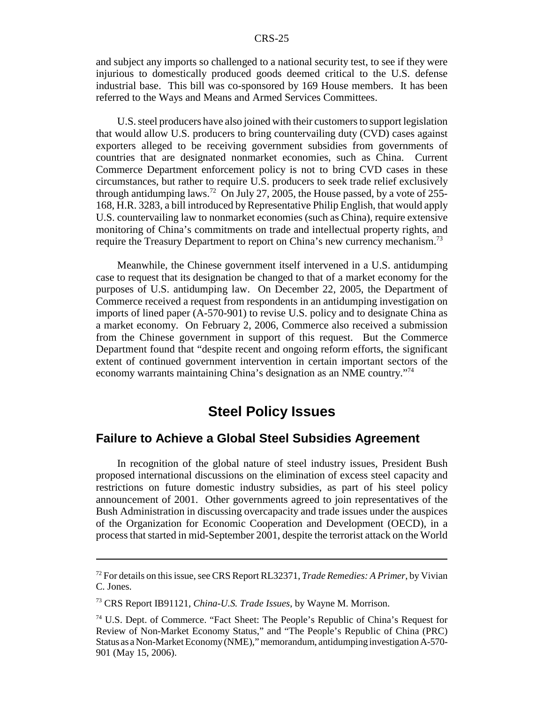and subject any imports so challenged to a national security test, to see if they were injurious to domestically produced goods deemed critical to the U.S. defense industrial base. This bill was co-sponsored by 169 House members. It has been referred to the Ways and Means and Armed Services Committees.

U.S. steel producers have also joined with their customers to support legislation that would allow U.S. producers to bring countervailing duty (CVD) cases against exporters alleged to be receiving government subsidies from governments of countries that are designated nonmarket economies, such as China. Current Commerce Department enforcement policy is not to bring CVD cases in these circumstances, but rather to require U.S. producers to seek trade relief exclusively through antidumping laws.<sup>72</sup> On July 27, 2005, the House passed, by a vote of 255-168, H.R. 3283, a bill introduced by Representative Philip English, that would apply U.S. countervailing law to nonmarket economies (such as China), require extensive monitoring of China's commitments on trade and intellectual property rights, and require the Treasury Department to report on China's new currency mechanism.<sup>73</sup>

Meanwhile, the Chinese government itself intervened in a U.S. antidumping case to request that its designation be changed to that of a market economy for the purposes of U.S. antidumping law. On December 22, 2005, the Department of Commerce received a request from respondents in an antidumping investigation on imports of lined paper (A-570-901) to revise U.S. policy and to designate China as a market economy. On February 2, 2006, Commerce also received a submission from the Chinese government in support of this request. But the Commerce Department found that "despite recent and ongoing reform efforts, the significant extent of continued government intervention in certain important sectors of the economy warrants maintaining China's designation as an NME country."74

# **Steel Policy Issues**

#### **Failure to Achieve a Global Steel Subsidies Agreement**

In recognition of the global nature of steel industry issues, President Bush proposed international discussions on the elimination of excess steel capacity and restrictions on future domestic industry subsidies, as part of his steel policy announcement of 2001. Other governments agreed to join representatives of the Bush Administration in discussing overcapacity and trade issues under the auspices of the Organization for Economic Cooperation and Development (OECD), in a process that started in mid-September 2001, despite the terrorist attack on the World

<sup>72</sup> For details on this issue, see CRS Report RL32371, *Trade Remedies: A Primer*, by Vivian C. Jones.

<sup>73</sup> CRS Report IB91121, *China-U.S. Trade Issues*, by Wayne M. Morrison.

<sup>74</sup> U.S. Dept. of Commerce. "Fact Sheet: The People's Republic of China's Request for Review of Non-Market Economy Status," and "The People's Republic of China (PRC) Status as a Non-Market Economy (NME)," memorandum, antidumping investigation A-570- 901 (May 15, 2006).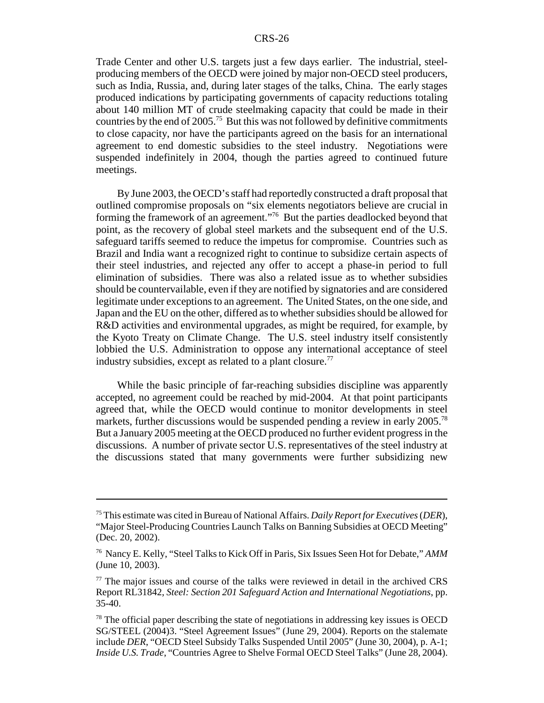Trade Center and other U.S. targets just a few days earlier. The industrial, steelproducing members of the OECD were joined by major non-OECD steel producers, such as India, Russia, and, during later stages of the talks, China. The early stages produced indications by participating governments of capacity reductions totaling about 140 million MT of crude steelmaking capacity that could be made in their countries by the end of 2005.75 But this was not followed by definitive commitments to close capacity, nor have the participants agreed on the basis for an international agreement to end domestic subsidies to the steel industry. Negotiations were suspended indefinitely in 2004, though the parties agreed to continued future meetings.

By June 2003, the OECD's staff had reportedly constructed a draft proposal that outlined compromise proposals on "six elements negotiators believe are crucial in forming the framework of an agreement."76 But the parties deadlocked beyond that point, as the recovery of global steel markets and the subsequent end of the U.S. safeguard tariffs seemed to reduce the impetus for compromise. Countries such as Brazil and India want a recognized right to continue to subsidize certain aspects of their steel industries, and rejected any offer to accept a phase-in period to full elimination of subsidies. There was also a related issue as to whether subsidies should be countervailable, even if they are notified by signatories and are considered legitimate under exceptions to an agreement. The United States, on the one side, and Japan and the EU on the other, differed as to whether subsidies should be allowed for R&D activities and environmental upgrades, as might be required, for example, by the Kyoto Treaty on Climate Change. The U.S. steel industry itself consistently lobbied the U.S. Administration to oppose any international acceptance of steel industry subsidies, except as related to a plant closure.<sup>77</sup>

While the basic principle of far-reaching subsidies discipline was apparently accepted, no agreement could be reached by mid-2004. At that point participants agreed that, while the OECD would continue to monitor developments in steel markets, further discussions would be suspended pending a review in early 2005.<sup>78</sup> But a January 2005 meeting at the OECD produced no further evident progress in the discussions. A number of private sector U.S. representatives of the steel industry at the discussions stated that many governments were further subsidizing new

<sup>75</sup> This estimate was cited in Bureau of National Affairs. *Daily Report for Executives* (*DER*), "Major Steel-Producing Countries Launch Talks on Banning Subsidies at OECD Meeting" (Dec. 20, 2002).

<sup>76</sup> Nancy E. Kelly, "Steel Talks to Kick Off in Paris, Six Issues Seen Hot for Debate," *AMM* (June 10, 2003).

 $77$  The major issues and course of the talks were reviewed in detail in the archived CRS Report RL31842, *Steel: Section 201 Safeguard Action and International Negotiations*, pp. 35-40.

 $78$  The official paper describing the state of negotiations in addressing key issues is OECD SG/STEEL (2004)3. "Steel Agreement Issues" (June 29, 2004). Reports on the stalemate include *DER*, "OECD Steel Subsidy Talks Suspended Until 2005" (June 30, 2004), p. A-1; *Inside U.S. Trade*, "Countries Agree to Shelve Formal OECD Steel Talks" (June 28, 2004).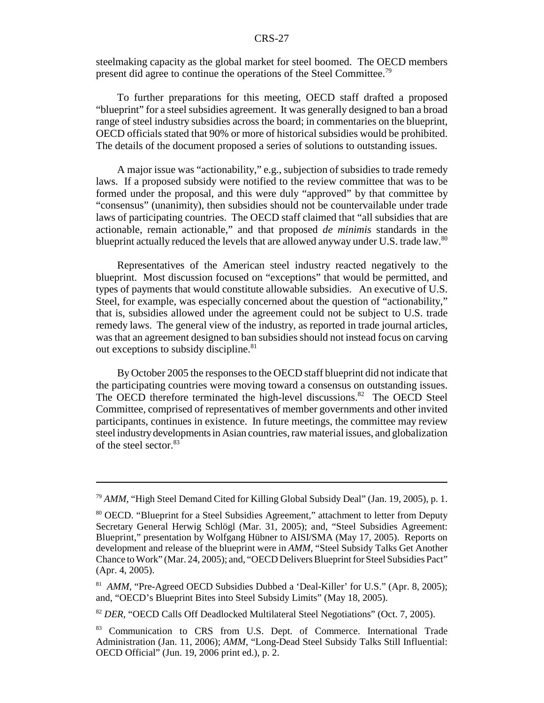steelmaking capacity as the global market for steel boomed. The OECD members present did agree to continue the operations of the Steel Committee.79

To further preparations for this meeting, OECD staff drafted a proposed "blueprint" for a steel subsidies agreement. It was generally designed to ban a broad range of steel industry subsidies across the board; in commentaries on the blueprint, OECD officials stated that 90% or more of historical subsidies would be prohibited. The details of the document proposed a series of solutions to outstanding issues.

A major issue was "actionability," e.g., subjection of subsidies to trade remedy laws. If a proposed subsidy were notified to the review committee that was to be formed under the proposal, and this were duly "approved" by that committee by "consensus" (unanimity), then subsidies should not be countervailable under trade laws of participating countries. The OECD staff claimed that "all subsidies that are actionable, remain actionable," and that proposed *de minimis* standards in the blueprint actually reduced the levels that are allowed anyway under U.S. trade law. $80$ 

Representatives of the American steel industry reacted negatively to the blueprint. Most discussion focused on "exceptions" that would be permitted, and types of payments that would constitute allowable subsidies. An executive of U.S. Steel, for example, was especially concerned about the question of "actionability," that is, subsidies allowed under the agreement could not be subject to U.S. trade remedy laws. The general view of the industry, as reported in trade journal articles, was that an agreement designed to ban subsidies should not instead focus on carving out exceptions to subsidy discipline.<sup>81</sup>

By October 2005 the responses to the OECD staff blueprint did not indicate that the participating countries were moving toward a consensus on outstanding issues. The OECD therefore terminated the high-level discussions.<sup>82</sup> The OECD Steel Committee, comprised of representatives of member governments and other invited participants, continues in existence. In future meetings, the committee may review steel industry developments in Asian countries, raw material issues, and globalization of the steel sector.<sup>83</sup>

<sup>79</sup> *AMM*, "High Steel Demand Cited for Killing Global Subsidy Deal" (Jan. 19, 2005), p. 1.

<sup>80</sup> OECD. "Blueprint for a Steel Subsidies Agreement," attachment to letter from Deputy Secretary General Herwig Schlögl (Mar. 31, 2005); and, "Steel Subsidies Agreement: Blueprint," presentation by Wolfgang Hübner to AISI/SMA (May 17, 2005). Reports on development and release of the blueprint were in *AMM*, "Steel Subsidy Talks Get Another Chance to Work" (Mar. 24, 2005); and, "OECD Delivers Blueprint for Steel Subsidies Pact" (Apr. 4, 2005).

<sup>&</sup>lt;sup>81</sup> *AMM*, "Pre-Agreed OECD Subsidies Dubbed a 'Deal-Killer' for U.S." (Apr. 8, 2005); and, "OECD's Blueprint Bites into Steel Subsidy Limits" (May 18, 2005).

<sup>82</sup> *DER*, "OECD Calls Off Deadlocked Multilateral Steel Negotiations" (Oct. 7, 2005).

<sup>83</sup> Communication to CRS from U.S. Dept. of Commerce. International Trade Administration (Jan. 11, 2006); *AMM*, "Long-Dead Steel Subsidy Talks Still Influential: OECD Official" (Jun. 19, 2006 print ed.), p. 2.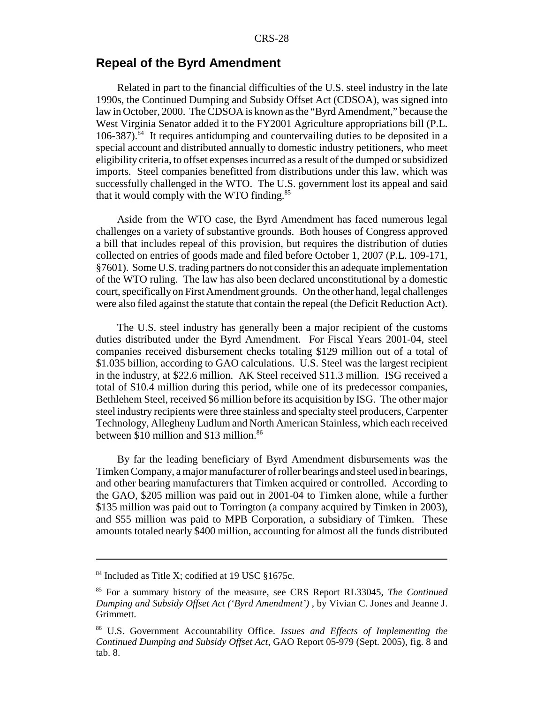# **Repeal of the Byrd Amendment**

Related in part to the financial difficulties of the U.S. steel industry in the late 1990s, the Continued Dumping and Subsidy Offset Act (CDSOA), was signed into law in October, 2000. The CDSOA is known as the "Byrd Amendment," because the West Virginia Senator added it to the FY2001 Agriculture appropriations bill (P.L.  $106-387$ <sup>34</sup>. It requires antidumping and countervailing duties to be deposited in a special account and distributed annually to domestic industry petitioners, who meet eligibility criteria, to offset expenses incurred as a result of the dumped or subsidized imports. Steel companies benefitted from distributions under this law, which was successfully challenged in the WTO. The U.S. government lost its appeal and said that it would comply with the WTO finding.<sup>85</sup>

Aside from the WTO case, the Byrd Amendment has faced numerous legal challenges on a variety of substantive grounds. Both houses of Congress approved a bill that includes repeal of this provision, but requires the distribution of duties collected on entries of goods made and filed before October 1, 2007 (P.L. 109-171, §7601). Some U.S. trading partners do not consider this an adequate implementation of the WTO ruling. The law has also been declared unconstitutional by a domestic court, specifically on First Amendment grounds. On the other hand, legal challenges were also filed against the statute that contain the repeal (the Deficit Reduction Act).

The U.S. steel industry has generally been a major recipient of the customs duties distributed under the Byrd Amendment. For Fiscal Years 2001-04, steel companies received disbursement checks totaling \$129 million out of a total of \$1.035 billion, according to GAO calculations. U.S. Steel was the largest recipient in the industry, at \$22.6 million. AK Steel received \$11.3 million. ISG received a total of \$10.4 million during this period, while one of its predecessor companies, Bethlehem Steel, received \$6 million before its acquisition by ISG. The other major steel industry recipients were three stainless and specialty steel producers, Carpenter Technology, Allegheny Ludlum and North American Stainless, which each received between \$10 million and \$13 million.<sup>86</sup>

By far the leading beneficiary of Byrd Amendment disbursements was the Timken Company, a major manufacturer of roller bearings and steel used in bearings, and other bearing manufacturers that Timken acquired or controlled. According to the GAO, \$205 million was paid out in 2001-04 to Timken alone, while a further \$135 million was paid out to Torrington (a company acquired by Timken in 2003), and \$55 million was paid to MPB Corporation, a subsidiary of Timken. These amounts totaled nearly \$400 million, accounting for almost all the funds distributed

<sup>&</sup>lt;sup>84</sup> Included as Title X; codified at 19 USC §1675c.

<sup>85</sup> For a summary history of the measure, see CRS Report RL33045, *The Continued Dumping and Subsidy Offset Act ('Byrd Amendment')* , by Vivian C. Jones and Jeanne J. Grimmett.

<sup>86</sup> U.S. Government Accountability Office. *Issues and Effects of Implementing the Continued Dumping and Subsidy Offset Act*, GAO Report 05-979 (Sept. 2005), fig. 8 and tab. 8.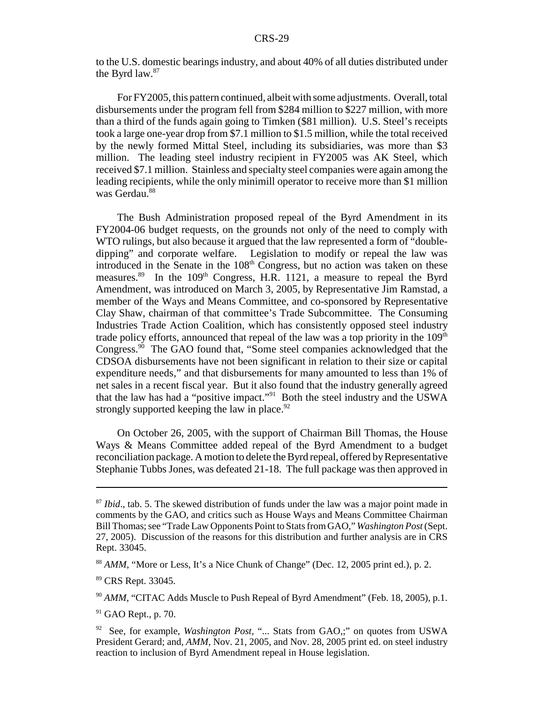to the U.S. domestic bearings industry, and about 40% of all duties distributed under the Byrd law.<sup>87</sup>

For FY2005, this pattern continued, albeit with some adjustments. Overall, total disbursements under the program fell from \$284 million to \$227 million, with more than a third of the funds again going to Timken (\$81 million). U.S. Steel's receipts took a large one-year drop from \$7.1 million to \$1.5 million, while the total received by the newly formed Mittal Steel, including its subsidiaries, was more than \$3 million. The leading steel industry recipient in FY2005 was AK Steel, which received \$7.1 million. Stainless and specialty steel companies were again among the leading recipients, while the only minimill operator to receive more than \$1 million was Gerdau.<sup>88</sup>

The Bush Administration proposed repeal of the Byrd Amendment in its FY2004-06 budget requests, on the grounds not only of the need to comply with WTO rulings, but also because it argued that the law represented a form of "doubledipping" and corporate welfare. Legislation to modify or repeal the law was introduced in the Senate in the  $108<sup>th</sup>$  Congress, but no action was taken on these measures.<sup>89</sup> In the 109<sup>th</sup> Congress, H.R. 1121, a measure to repeal the Byrd Amendment, was introduced on March 3, 2005, by Representative Jim Ramstad, a member of the Ways and Means Committee, and co-sponsored by Representative Clay Shaw, chairman of that committee's Trade Subcommittee. The Consuming Industries Trade Action Coalition, which has consistently opposed steel industry trade policy efforts, announced that repeal of the law was a top priority in the  $109<sup>th</sup>$ Congress.90 The GAO found that, "Some steel companies acknowledged that the CDSOA disbursements have not been significant in relation to their size or capital expenditure needs," and that disbursements for many amounted to less than 1% of net sales in a recent fiscal year. But it also found that the industry generally agreed that the law has had a "positive impact."91 Both the steel industry and the USWA strongly supported keeping the law in place. $92$ 

On October 26, 2005, with the support of Chairman Bill Thomas, the House Ways & Means Committee added repeal of the Byrd Amendment to a budget reconciliation package. A motion to delete the Byrd repeal, offered by Representative Stephanie Tubbs Jones, was defeated 21-18. The full package was then approved in

<sup>&</sup>lt;sup>87</sup> *Ibid.*, tab. 5. The skewed distribution of funds under the law was a major point made in comments by the GAO, and critics such as House Ways and Means Committee Chairman Bill Thomas; see "Trade Law Opponents Point to Stats from GAO," *Washington Post* (Sept. 27, 2005). Discussion of the reasons for this distribution and further analysis are in CRS Rept. 33045.

<sup>88</sup> *AMM*, "More or Less, It's a Nice Chunk of Change" (Dec. 12, 2005 print ed.), p. 2.

<sup>89</sup> CRS Rept. 33045.

<sup>&</sup>lt;sup>90</sup> AMM, "CITAC Adds Muscle to Push Repeal of Byrd Amendment" (Feb. 18, 2005), p.1.

 $91$  GAO Rept., p. 70.

<sup>92</sup> See, for example, *Washington Post*, "... Stats from GAO,;" on quotes from USWA President Gerard; and, *AMM*, Nov. 21, 2005, and Nov. 28, 2005 print ed. on steel industry reaction to inclusion of Byrd Amendment repeal in House legislation.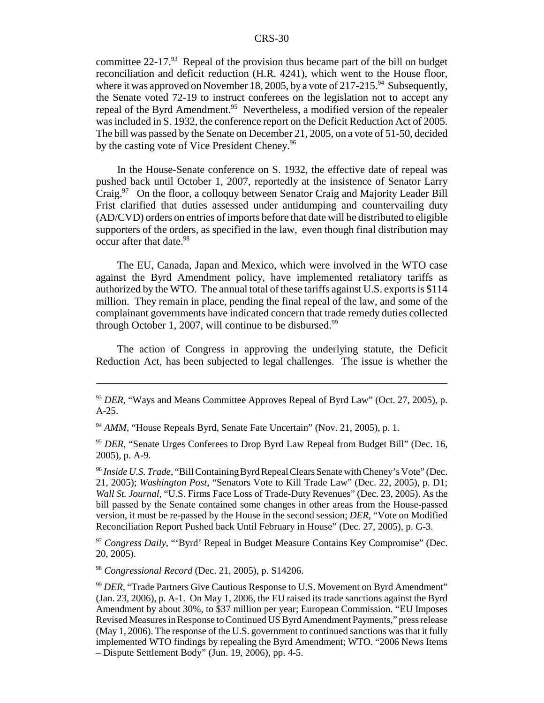committee  $22-17<sup>93</sup>$  Repeal of the provision thus became part of the bill on budget reconciliation and deficit reduction (H.R. 4241), which went to the House floor, where it was approved on November 18, 2005, by a vote of 217-215.<sup>94</sup> Subsequently, the Senate voted 72-19 to instruct conferees on the legislation not to accept any repeal of the Byrd Amendment.<sup>95</sup> Nevertheless, a modified version of the repealer was included in S. 1932, the conference report on the Deficit Reduction Act of 2005. The bill was passed by the Senate on December 21, 2005, on a vote of 51-50, decided by the casting vote of Vice President Cheney.<sup>96</sup>

In the House-Senate conference on S. 1932, the effective date of repeal was pushed back until October 1, 2007, reportedly at the insistence of Senator Larry Craig.<sup>97</sup> On the floor, a colloquy between Senator Craig and Majority Leader Bill Frist clarified that duties assessed under antidumping and countervailing duty (AD/CVD) orders on entries of imports before that date will be distributed to eligible supporters of the orders, as specified in the law, even though final distribution may occur after that date.<sup>98</sup>

The EU, Canada, Japan and Mexico, which were involved in the WTO case against the Byrd Amendment policy, have implemented retaliatory tariffs as authorized by the WTO. The annual total of these tariffs against U.S. exports is \$114 million. They remain in place, pending the final repeal of the law, and some of the complainant governments have indicated concern that trade remedy duties collected through October 1, 2007, will continue to be disbursed.<sup>99</sup>

The action of Congress in approving the underlying statute, the Deficit Reduction Act, has been subjected to legal challenges. The issue is whether the

<sup>97</sup> *Congress Daily*, "'Byrd' Repeal in Budget Measure Contains Key Compromise" (Dec. 20, 2005).

<sup>98</sup> *Congressional Record* (Dec. 21, 2005), p. S14206.

<sup>93</sup> *DER*, "Ways and Means Committee Approves Repeal of Byrd Law" (Oct. 27, 2005), p. A-25.

<sup>&</sup>lt;sup>94</sup> AMM, "House Repeals Byrd, Senate Fate Uncertain" (Nov. 21, 2005), p. 1.

<sup>&</sup>lt;sup>95</sup> DER, "Senate Urges Conferees to Drop Byrd Law Repeal from Budget Bill" (Dec. 16, 2005), p. A-9.

<sup>96</sup> *Inside U.S. Trade*, "Bill Containing Byrd Repeal Clears Senate with Cheney's Vote" (Dec. 21, 2005); *Washington Post*, "Senators Vote to Kill Trade Law" (Dec. 22, 2005), p. D1; *Wall St. Journal*, "U.S. Firms Face Loss of Trade-Duty Revenues" (Dec. 23, 2005). As the bill passed by the Senate contained some changes in other areas from the House-passed version, it must be re-passed by the House in the second session; *DER*, "Vote on Modified Reconciliation Report Pushed back Until February in House" (Dec. 27, 2005), p. G-3.

<sup>99</sup> *DER,* "Trade Partners Give Cautious Response to U.S. Movement on Byrd Amendment" (Jan. 23, 2006), p. A-1. On May 1, 2006, the EU raised its trade sanctions against the Byrd Amendment by about 30%, to \$37 million per year; European Commission. "EU Imposes Revised Measures in Response to Continued US Byrd Amendment Payments," press release (May 1, 2006). The response of the U.S. government to continued sanctions was that it fully implemented WTO findings by repealing the Byrd Amendment; WTO. "2006 News Items – Dispute Settlement Body" (Jun. 19, 2006), pp. 4-5.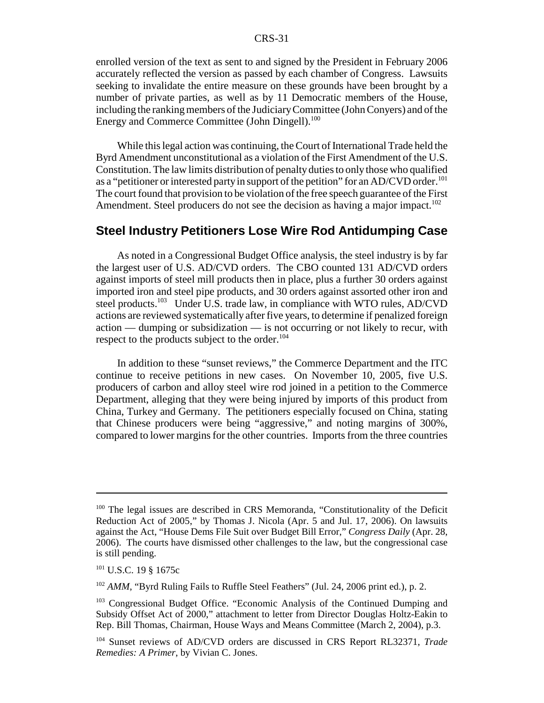enrolled version of the text as sent to and signed by the President in February 2006 accurately reflected the version as passed by each chamber of Congress. Lawsuits seeking to invalidate the entire measure on these grounds have been brought by a number of private parties, as well as by 11 Democratic members of the House, including the ranking members of the Judiciary Committee (John Conyers) and of the Energy and Commerce Committee (John Dingell).<sup>100</sup>

While this legal action was continuing, the Court of International Trade held the Byrd Amendment unconstitutional as a violation of the First Amendment of the U.S. Constitution. The law limits distribution of penalty duties to only those who qualified as a "petitioner or interested party in support of the petition" for an AD/CVD order.<sup>101</sup> The court found that provision to be violation of the free speech guarantee of the First Amendment. Steel producers do not see the decision as having a major impact.<sup>102</sup>

## **Steel Industry Petitioners Lose Wire Rod Antidumping Case**

As noted in a Congressional Budget Office analysis, the steel industry is by far the largest user of U.S. AD/CVD orders. The CBO counted 131 AD/CVD orders against imports of steel mill products then in place, plus a further 30 orders against imported iron and steel pipe products, and 30 orders against assorted other iron and steel products.<sup>103</sup> Under U.S. trade law, in compliance with WTO rules, AD/CVD actions are reviewed systematically after five years, to determine if penalized foreign action — dumping or subsidization — is not occurring or not likely to recur, with respect to the products subject to the order. $104$ 

In addition to these "sunset reviews," the Commerce Department and the ITC continue to receive petitions in new cases. On November 10, 2005, five U.S. producers of carbon and alloy steel wire rod joined in a petition to the Commerce Department, alleging that they were being injured by imports of this product from China, Turkey and Germany. The petitioners especially focused on China, stating that Chinese producers were being "aggressive," and noting margins of 300%, compared to lower margins for the other countries. Imports from the three countries

<sup>&</sup>lt;sup>100</sup> The legal issues are described in CRS Memoranda, "Constitutionality of the Deficit Reduction Act of 2005," by Thomas J. Nicola (Apr. 5 and Jul. 17, 2006). On lawsuits against the Act, "House Dems File Suit over Budget Bill Error," *Congress Daily* (Apr. 28, 2006). The courts have dismissed other challenges to the law, but the congressional case is still pending.

<sup>101</sup> U.S.C. 19 § 1675c

<sup>&</sup>lt;sup>102</sup> AMM, "Byrd Ruling Fails to Ruffle Steel Feathers" (Jul. 24, 2006 print ed.), p. 2.

<sup>103</sup> Congressional Budget Office. "Economic Analysis of the Continued Dumping and Subsidy Offset Act of 2000," attachment to letter from Director Douglas Holtz-Eakin to Rep. Bill Thomas, Chairman, House Ways and Means Committee (March 2, 2004), p.3.

<sup>104</sup> Sunset reviews of AD/CVD orders are discussed in CRS Report RL32371, *Trade Remedies: A Primer*, by Vivian C. Jones.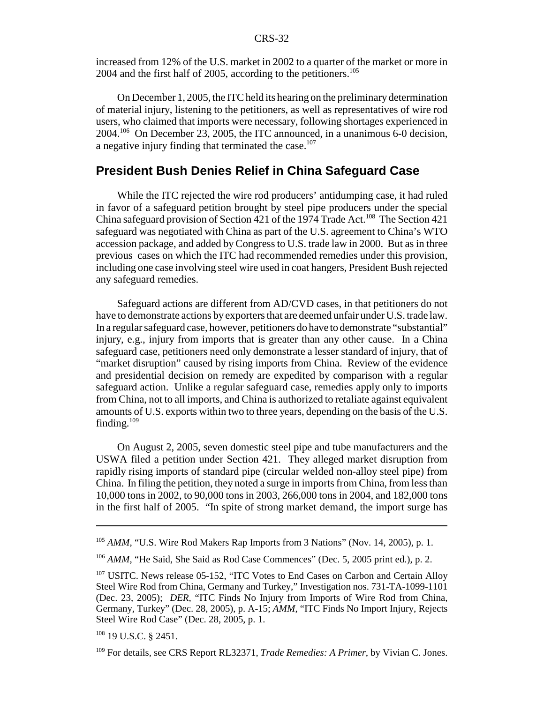increased from 12% of the U.S. market in 2002 to a quarter of the market or more in  $2004$  and the first half of 2005, according to the petitioners.<sup>105</sup>

On December 1, 2005, the ITC held its hearing on the preliminary determination of material injury, listening to the petitioners, as well as representatives of wire rod users, who claimed that imports were necessary, following shortages experienced in 2004.106 On December 23, 2005, the ITC announced, in a unanimous 6-0 decision, a negative injury finding that terminated the case. $107$ 

# **President Bush Denies Relief in China Safeguard Case**

While the ITC rejected the wire rod producers' antidumping case, it had ruled in favor of a safeguard petition brought by steel pipe producers under the special China safeguard provision of Section 421 of the 1974 Trade Act.<sup>108</sup> The Section 421 safeguard was negotiated with China as part of the U.S. agreement to China's WTO accession package, and added by Congress to U.S. trade law in 2000. But as in three previous cases on which the ITC had recommended remedies under this provision, including one case involving steel wire used in coat hangers, President Bush rejected any safeguard remedies.

Safeguard actions are different from AD/CVD cases, in that petitioners do not have to demonstrate actions by exporters that are deemed unfair under U.S. trade law. In a regular safeguard case, however, petitioners do have to demonstrate "substantial" injury, e.g., injury from imports that is greater than any other cause. In a China safeguard case, petitioners need only demonstrate a lesser standard of injury, that of "market disruption" caused by rising imports from China. Review of the evidence and presidential decision on remedy are expedited by comparison with a regular safeguard action. Unlike a regular safeguard case, remedies apply only to imports from China, not to all imports, and China is authorized to retaliate against equivalent amounts of U.S. exports within two to three years, depending on the basis of the U.S. finding.109

On August 2, 2005, seven domestic steel pipe and tube manufacturers and the USWA filed a petition under Section 421. They alleged market disruption from rapidly rising imports of standard pipe (circular welded non-alloy steel pipe) from China. In filing the petition, they noted a surge in imports from China, from less than 10,000 tons in 2002, to 90,000 tons in 2003, 266,000 tons in 2004, and 182,000 tons in the first half of 2005. "In spite of strong market demand, the import surge has

<sup>&</sup>lt;sup>105</sup> AMM, "U.S. Wire Rod Makers Rap Imports from 3 Nations" (Nov. 14, 2005), p. 1.

<sup>&</sup>lt;sup>106</sup> *AMM*, "He Said, She Said as Rod Case Commences" (Dec. 5, 2005 print ed.), p. 2.

<sup>&</sup>lt;sup>107</sup> USITC. News release 05-152, "ITC Votes to End Cases on Carbon and Certain Alloy Steel Wire Rod from China, Germany and Turkey," Investigation nos. 731-TA-1099-1101 (Dec. 23, 2005); *DER*, "ITC Finds No Injury from Imports of Wire Rod from China, Germany, Turkey" (Dec. 28, 2005), p. A-15; *AMM*, "ITC Finds No Import Injury, Rejects Steel Wire Rod Case" (Dec. 28, 2005, p. 1.

 $108$  19 U.S.C. § 2451.

<sup>109</sup> For details, see CRS Report RL32371, *Trade Remedies: A Primer*, by Vivian C. Jones.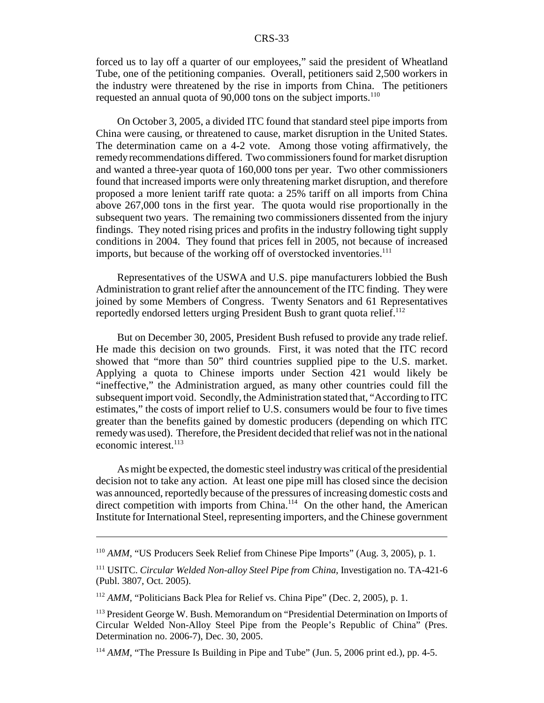forced us to lay off a quarter of our employees," said the president of Wheatland Tube, one of the petitioning companies. Overall, petitioners said 2,500 workers in the industry were threatened by the rise in imports from China. The petitioners requested an annual quota of 90,000 tons on the subject imports.<sup>110</sup>

On October 3, 2005, a divided ITC found that standard steel pipe imports from China were causing, or threatened to cause, market disruption in the United States. The determination came on a 4-2 vote. Among those voting affirmatively, the remedy recommendations differed. Two commissioners found for market disruption and wanted a three-year quota of 160,000 tons per year. Two other commissioners found that increased imports were only threatening market disruption, and therefore proposed a more lenient tariff rate quota: a 25% tariff on all imports from China above 267,000 tons in the first year. The quota would rise proportionally in the subsequent two years. The remaining two commissioners dissented from the injury findings. They noted rising prices and profits in the industry following tight supply conditions in 2004. They found that prices fell in 2005, not because of increased imports, but because of the working off of overstocked inventories.<sup>111</sup>

Representatives of the USWA and U.S. pipe manufacturers lobbied the Bush Administration to grant relief after the announcement of the ITC finding. They were joined by some Members of Congress. Twenty Senators and 61 Representatives reportedly endorsed letters urging President Bush to grant quota relief.<sup>112</sup>

But on December 30, 2005, President Bush refused to provide any trade relief. He made this decision on two grounds. First, it was noted that the ITC record showed that "more than 50" third countries supplied pipe to the U.S. market. Applying a quota to Chinese imports under Section 421 would likely be "ineffective," the Administration argued, as many other countries could fill the subsequent import void. Secondly, the Administration stated that, "According to ITC estimates," the costs of import relief to U.S. consumers would be four to five times greater than the benefits gained by domestic producers (depending on which ITC remedy was used). Therefore, the President decided that relief was not in the national economic interest.<sup>113</sup>

As might be expected, the domestic steel industry was critical of the presidential decision not to take any action. At least one pipe mill has closed since the decision was announced, reportedly because of the pressures of increasing domestic costs and direct competition with imports from China.<sup>114</sup> On the other hand, the American Institute for International Steel, representing importers, and the Chinese government

<sup>110</sup> *AMM*, "US Producers Seek Relief from Chinese Pipe Imports" (Aug. 3, 2005), p. 1.

<sup>111</sup> USITC. *Circular Welded Non-alloy Steel Pipe from China*, Investigation no. TA-421-6 (Publ. 3807, Oct. 2005).

<sup>112</sup> *AMM*, "Politicians Back Plea for Relief vs. China Pipe" (Dec. 2, 2005), p. 1.

<sup>113</sup> President George W. Bush. Memorandum on "Presidential Determination on Imports of Circular Welded Non-Alloy Steel Pipe from the People's Republic of China" (Pres. Determination no. 2006-7), Dec. 30, 2005.

<sup>&</sup>lt;sup>114</sup> *AMM*, "The Pressure Is Building in Pipe and Tube" (Jun. 5, 2006 print ed.), pp. 4-5.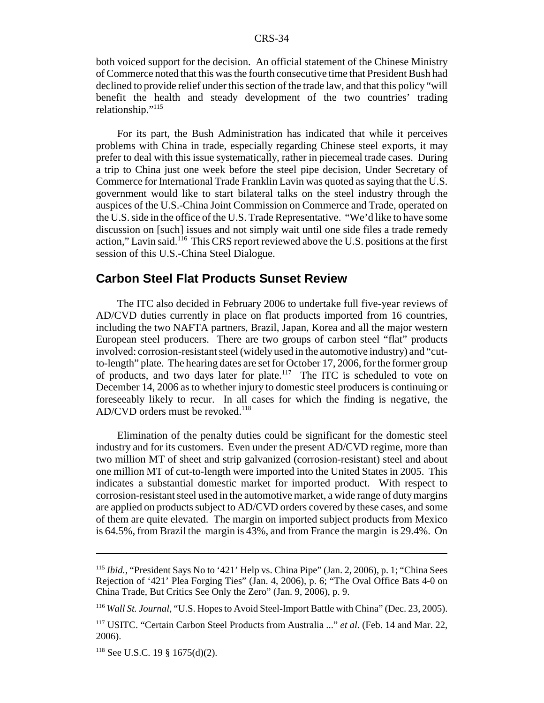both voiced support for the decision. An official statement of the Chinese Ministry of Commerce noted that this was the fourth consecutive time that President Bush had declined to provide relief under this section of the trade law, and that this policy "will benefit the health and steady development of the two countries' trading relationship."115

For its part, the Bush Administration has indicated that while it perceives problems with China in trade, especially regarding Chinese steel exports, it may prefer to deal with this issue systematically, rather in piecemeal trade cases. During a trip to China just one week before the steel pipe decision, Under Secretary of Commerce for International Trade Franklin Lavin was quoted as saying that the U.S. government would like to start bilateral talks on the steel industry through the auspices of the U.S.-China Joint Commission on Commerce and Trade, operated on the U.S. side in the office of the U.S. Trade Representative. "We'd like to have some discussion on [such] issues and not simply wait until one side files a trade remedy action," Lavin said.<sup>116</sup> This CRS report reviewed above the U.S. positions at the first session of this U.S.-China Steel Dialogue.

### **Carbon Steel Flat Products Sunset Review**

The ITC also decided in February 2006 to undertake full five-year reviews of AD/CVD duties currently in place on flat products imported from 16 countries, including the two NAFTA partners, Brazil, Japan, Korea and all the major western European steel producers. There are two groups of carbon steel "flat" products involved: corrosion-resistant steel (widely used in the automotive industry) and "cutto-length" plate. The hearing dates are set for October 17, 2006, for the former group of products, and two days later for plate.117 The ITC is scheduled to vote on December 14, 2006 as to whether injury to domestic steel producers is continuing or foreseeably likely to recur. In all cases for which the finding is negative, the  $AD/CVD$  orders must be revoked.<sup>118</sup>

Elimination of the penalty duties could be significant for the domestic steel industry and for its customers. Even under the present AD/CVD regime, more than two million MT of sheet and strip galvanized (corrosion-resistant) steel and about one million MT of cut-to-length were imported into the United States in 2005. This indicates a substantial domestic market for imported product. With respect to corrosion-resistant steel used in the automotive market, a wide range of duty margins are applied on products subject to AD/CVD orders covered by these cases, and some of them are quite elevated. The margin on imported subject products from Mexico is 64.5%, from Brazil the margin is 43%, and from France the margin is 29.4%. On

<sup>&</sup>lt;sup>115</sup> *Ibid.*, "President Says No to '421' Help vs. China Pipe" (Jan. 2, 2006), p. 1; "China Sees Rejection of '421' Plea Forging Ties" (Jan. 4, 2006), p. 6; "The Oval Office Bats 4-0 on China Trade, But Critics See Only the Zero" (Jan. 9, 2006), p. 9.

<sup>116</sup> *Wall St. Journal*, "U.S. Hopes to Avoid Steel-Import Battle with China" (Dec. 23, 2005).

<sup>117</sup> USITC. "Certain Carbon Steel Products from Australia ..." *et al.* (Feb. 14 and Mar. 22, 2006).

<sup>118</sup> See U.S.C. 19 § 1675(d)(2).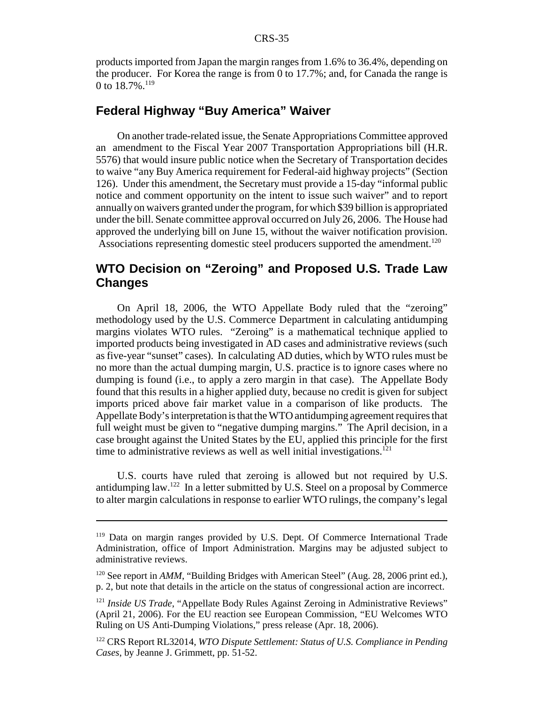products imported from Japan the margin ranges from 1.6% to 36.4%, depending on the producer. For Korea the range is from 0 to 17.7%; and, for Canada the range is 0 to  $18.7\%$ <sup>119</sup>

# **Federal Highway "Buy America" Waiver**

On another trade-related issue, the Senate Appropriations Committee approved an amendment to the Fiscal Year 2007 Transportation Appropriations bill (H.R. 5576) that would insure public notice when the Secretary of Transportation decides to waive "any Buy America requirement for Federal-aid highway projects" (Section 126). Under this amendment, the Secretary must provide a 15-day "informal public notice and comment opportunity on the intent to issue such waiver" and to report annually on waivers granted under the program, for which \$39 billion is appropriated under the bill. Senate committee approval occurred on July 26, 2006. The House had approved the underlying bill on June 15, without the waiver notification provision. Associations representing domestic steel producers supported the amendment.<sup>120</sup>

# **WTO Decision on "Zeroing" and Proposed U.S. Trade Law Changes**

On April 18, 2006, the WTO Appellate Body ruled that the "zeroing" methodology used by the U.S. Commerce Department in calculating antidumping margins violates WTO rules. "Zeroing" is a mathematical technique applied to imported products being investigated in AD cases and administrative reviews (such as five-year "sunset" cases). In calculating AD duties, which by WTO rules must be no more than the actual dumping margin, U.S. practice is to ignore cases where no dumping is found (i.e., to apply a zero margin in that case). The Appellate Body found that this results in a higher applied duty, because no credit is given for subject imports priced above fair market value in a comparison of like products. The Appellate Body's interpretation is that the WTO antidumping agreement requires that full weight must be given to "negative dumping margins." The April decision, in a case brought against the United States by the EU, applied this principle for the first time to administrative reviews as well as well initial investigations.<sup>121</sup>

U.S. courts have ruled that zeroing is allowed but not required by U.S. antidumping law.<sup>122</sup> In a letter submitted by U.S. Steel on a proposal by Commerce to alter margin calculations in response to earlier WTO rulings, the company's legal

<sup>&</sup>lt;sup>119</sup> Data on margin ranges provided by U.S. Dept. Of Commerce International Trade Administration, office of Import Administration. Margins may be adjusted subject to administrative reviews.

<sup>&</sup>lt;sup>120</sup> See report in *AMM*, "Building Bridges with American Steel" (Aug. 28, 2006 print ed.), p. 2, but note that details in the article on the status of congressional action are incorrect.

<sup>&</sup>lt;sup>121</sup> *Inside US Trade*, "Appellate Body Rules Against Zeroing in Administrative Reviews" (April 21, 2006). For the EU reaction see European Commission, "EU Welcomes WTO Ruling on US Anti-Dumping Violations," press release (Apr. 18, 2006).

<sup>122</sup> CRS Report RL32014, *WTO Dispute Settlement: Status of U.S. Compliance in Pending Cases*, by Jeanne J. Grimmett, pp. 51-52.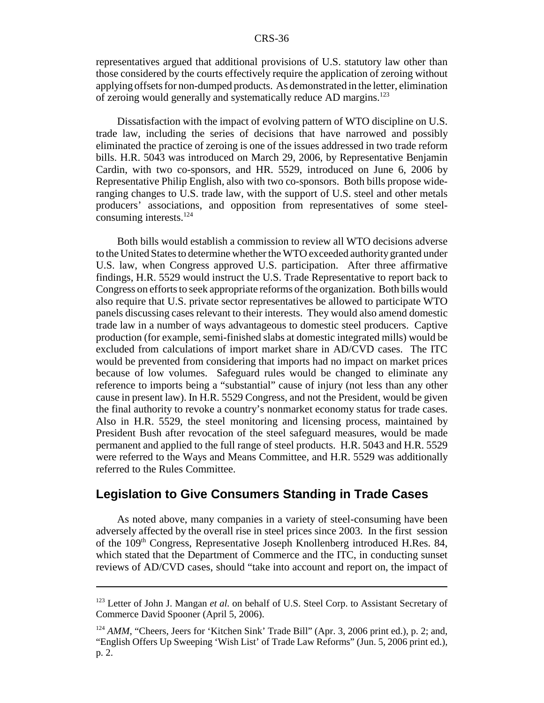representatives argued that additional provisions of U.S. statutory law other than those considered by the courts effectively require the application of zeroing without applying offsets for non-dumped products. As demonstrated in the letter, elimination of zeroing would generally and systematically reduce AD margins.123

Dissatisfaction with the impact of evolving pattern of WTO discipline on U.S. trade law, including the series of decisions that have narrowed and possibly eliminated the practice of zeroing is one of the issues addressed in two trade reform bills. H.R. 5043 was introduced on March 29, 2006, by Representative Benjamin Cardin, with two co-sponsors, and HR. 5529, introduced on June 6, 2006 by Representative Philip English, also with two co-sponsors. Both bills propose wideranging changes to U.S. trade law, with the support of U.S. steel and other metals producers' associations, and opposition from representatives of some steelconsuming interests.<sup>124</sup>

Both bills would establish a commission to review all WTO decisions adverse to the United States to determine whether the WTO exceeded authority granted under U.S. law, when Congress approved U.S. participation. After three affirmative findings, H.R. 5529 would instruct the U.S. Trade Representative to report back to Congress on efforts to seek appropriate reforms of the organization. Both bills would also require that U.S. private sector representatives be allowed to participate WTO panels discussing cases relevant to their interests. They would also amend domestic trade law in a number of ways advantageous to domestic steel producers. Captive production (for example, semi-finished slabs at domestic integrated mills) would be excluded from calculations of import market share in AD/CVD cases. The ITC would be prevented from considering that imports had no impact on market prices because of low volumes. Safeguard rules would be changed to eliminate any reference to imports being a "substantial" cause of injury (not less than any other cause in present law). In H.R. 5529 Congress, and not the President, would be given the final authority to revoke a country's nonmarket economy status for trade cases. Also in H.R. 5529, the steel monitoring and licensing process, maintained by President Bush after revocation of the steel safeguard measures, would be made permanent and applied to the full range of steel products. H.R. 5043 and H.R. 5529 were referred to the Ways and Means Committee, and H.R. 5529 was additionally referred to the Rules Committee.

# **Legislation to Give Consumers Standing in Trade Cases**

As noted above, many companies in a variety of steel-consuming have been adversely affected by the overall rise in steel prices since 2003. In the first session of the 109th Congress, Representative Joseph Knollenberg introduced H.Res. 84, which stated that the Department of Commerce and the ITC, in conducting sunset reviews of AD/CVD cases, should "take into account and report on, the impact of

<sup>&</sup>lt;sup>123</sup> Letter of John J. Mangan *et al.* on behalf of U.S. Steel Corp. to Assistant Secretary of Commerce David Spooner (April 5, 2006).

<sup>&</sup>lt;sup>124</sup> AMM, "Cheers, Jeers for 'Kitchen Sink' Trade Bill" (Apr. 3, 2006 print ed.), p. 2; and, "English Offers Up Sweeping 'Wish List' of Trade Law Reforms" (Jun. 5, 2006 print ed.), p. 2.